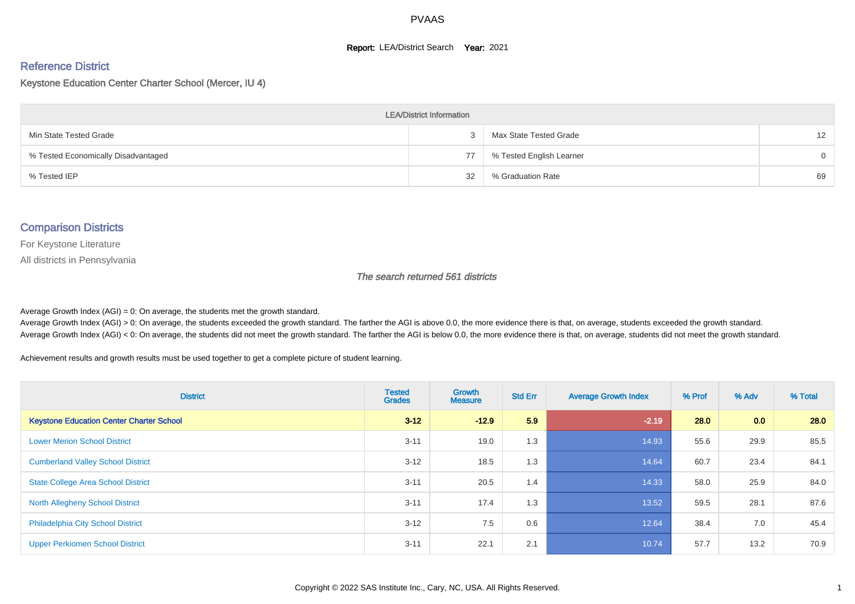#### **Report: LEA/District Search Year: 2021**

# Reference District

#### Keystone Education Center Charter School (Mercer, IU 4)

| <b>LEA/District Information</b>     |    |                          |                 |  |  |  |  |  |  |  |
|-------------------------------------|----|--------------------------|-----------------|--|--|--|--|--|--|--|
| Min State Tested Grade              |    | Max State Tested Grade   | 12 <sup>2</sup> |  |  |  |  |  |  |  |
| % Tested Economically Disadvantaged | 77 | % Tested English Learner | $\Omega$        |  |  |  |  |  |  |  |
| % Tested IEP                        | 32 | % Graduation Rate        | 69              |  |  |  |  |  |  |  |

#### Comparison Districts

For Keystone Literature

All districts in Pennsylvania

The search returned 561 districts

Average Growth Index  $(AGI) = 0$ : On average, the students met the growth standard.

Average Growth Index (AGI) > 0: On average, the students exceeded the growth standard. The farther the AGI is above 0.0, the more evidence there is that, on average, students exceeded the growth standard. Average Growth Index (AGI) < 0: On average, the students did not meet the growth standard. The farther the AGI is below 0.0, the more evidence there is that, on average, students did not meet the growth standard.

Achievement results and growth results must be used together to get a complete picture of student learning.

| <b>District</b>                                 | <b>Tested</b><br><b>Grades</b> | <b>Growth</b><br><b>Measure</b> | <b>Std Err</b> | <b>Average Growth Index</b> | % Prof | % Adv | % Total |
|-------------------------------------------------|--------------------------------|---------------------------------|----------------|-----------------------------|--------|-------|---------|
| <b>Keystone Education Center Charter School</b> | $3 - 12$                       | $-12.9$                         | 5.9            | $-2.19$                     | 28.0   | 0.0   | 28.0    |
| <b>Lower Merion School District</b>             | $3 - 11$                       | 19.0                            | 1.3            | 14.93                       | 55.6   | 29.9  | 85.5    |
| <b>Cumberland Valley School District</b>        | $3 - 12$                       | 18.5                            | 1.3            | 14.64                       | 60.7   | 23.4  | 84.1    |
| <b>State College Area School District</b>       | $3 - 11$                       | 20.5                            | 1.4            | 14.33                       | 58.0   | 25.9  | 84.0    |
| <b>North Allegheny School District</b>          | $3 - 11$                       | 17.4                            | 1.3            | 13.52                       | 59.5   | 28.1  | 87.6    |
| <b>Philadelphia City School District</b>        | $3 - 12$                       | 7.5                             | 0.6            | 12.64                       | 38.4   | 7.0   | 45.4    |
| <b>Upper Perkiomen School District</b>          | $3 - 11$                       | 22.1                            | 2.1            | 10.74                       | 57.7   | 13.2  | 70.9    |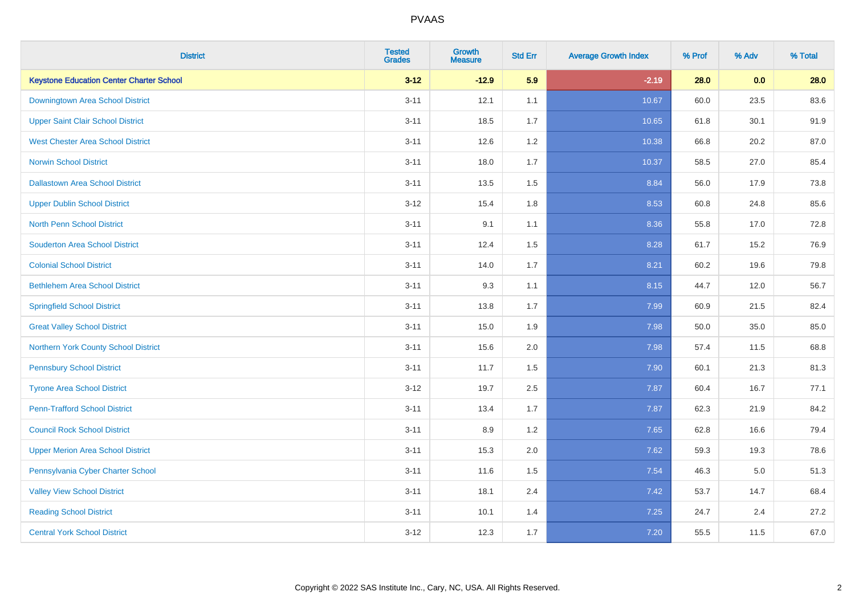| <b>District</b>                                 | <b>Tested</b><br><b>Grades</b> | <b>Growth</b><br><b>Measure</b> | <b>Std Err</b> | <b>Average Growth Index</b> | % Prof | % Adv | % Total |
|-------------------------------------------------|--------------------------------|---------------------------------|----------------|-----------------------------|--------|-------|---------|
| <b>Keystone Education Center Charter School</b> | $3 - 12$                       | $-12.9$                         | 5.9            | $-2.19$                     | 28.0   | 0.0   | 28.0    |
| Downingtown Area School District                | $3 - 11$                       | 12.1                            | 1.1            | 10.67                       | 60.0   | 23.5  | 83.6    |
| <b>Upper Saint Clair School District</b>        | $3 - 11$                       | 18.5                            | 1.7            | 10.65                       | 61.8   | 30.1  | 91.9    |
| <b>West Chester Area School District</b>        | $3 - 11$                       | 12.6                            | $1.2\,$        | 10.38                       | 66.8   | 20.2  | 87.0    |
| <b>Norwin School District</b>                   | $3 - 11$                       | 18.0                            | 1.7            | 10.37                       | 58.5   | 27.0  | 85.4    |
| <b>Dallastown Area School District</b>          | $3 - 11$                       | 13.5                            | 1.5            | 8.84                        | 56.0   | 17.9  | 73.8    |
| <b>Upper Dublin School District</b>             | $3 - 12$                       | 15.4                            | 1.8            | 8.53                        | 60.8   | 24.8  | 85.6    |
| <b>North Penn School District</b>               | $3 - 11$                       | 9.1                             | 1.1            | 8.36                        | 55.8   | 17.0  | 72.8    |
| <b>Souderton Area School District</b>           | $3 - 11$                       | 12.4                            | 1.5            | 8.28                        | 61.7   | 15.2  | 76.9    |
| <b>Colonial School District</b>                 | $3 - 11$                       | 14.0                            | 1.7            | 8.21                        | 60.2   | 19.6  | 79.8    |
| <b>Bethlehem Area School District</b>           | $3 - 11$                       | 9.3                             | 1.1            | 8.15                        | 44.7   | 12.0  | 56.7    |
| <b>Springfield School District</b>              | $3 - 11$                       | 13.8                            | 1.7            | 7.99                        | 60.9   | 21.5  | 82.4    |
| <b>Great Valley School District</b>             | $3 - 11$                       | 15.0                            | 1.9            | 7.98                        | 50.0   | 35.0  | 85.0    |
| Northern York County School District            | $3 - 11$                       | 15.6                            | 2.0            | 7.98                        | 57.4   | 11.5  | 68.8    |
| <b>Pennsbury School District</b>                | $3 - 11$                       | 11.7                            | 1.5            | 7.90                        | 60.1   | 21.3  | 81.3    |
| <b>Tyrone Area School District</b>              | $3 - 12$                       | 19.7                            | 2.5            | 7.87                        | 60.4   | 16.7  | 77.1    |
| <b>Penn-Trafford School District</b>            | $3 - 11$                       | 13.4                            | 1.7            | 7.87                        | 62.3   | 21.9  | 84.2    |
| <b>Council Rock School District</b>             | $3 - 11$                       | 8.9                             | 1.2            | 7.65                        | 62.8   | 16.6  | 79.4    |
| <b>Upper Merion Area School District</b>        | $3 - 11$                       | 15.3                            | 2.0            | 7.62                        | 59.3   | 19.3  | 78.6    |
| Pennsylvania Cyber Charter School               | $3 - 11$                       | 11.6                            | 1.5            | 7.54                        | 46.3   | 5.0   | 51.3    |
| <b>Valley View School District</b>              | $3 - 11$                       | 18.1                            | 2.4            | 7.42                        | 53.7   | 14.7  | 68.4    |
| <b>Reading School District</b>                  | $3 - 11$                       | 10.1                            | 1.4            | 7.25                        | 24.7   | 2.4   | 27.2    |
| <b>Central York School District</b>             | $3 - 12$                       | 12.3                            | 1.7            | 7.20                        | 55.5   | 11.5  | 67.0    |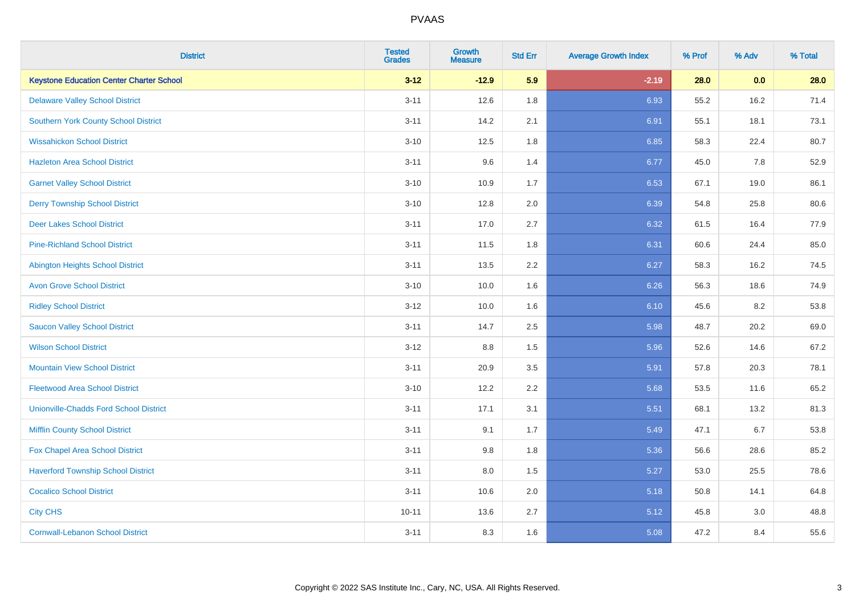| <b>District</b>                                 | <b>Tested</b><br><b>Grades</b> | <b>Growth</b><br><b>Measure</b> | <b>Std Err</b> | <b>Average Growth Index</b> | % Prof | % Adv | % Total |
|-------------------------------------------------|--------------------------------|---------------------------------|----------------|-----------------------------|--------|-------|---------|
| <b>Keystone Education Center Charter School</b> | $3 - 12$                       | $-12.9$                         | 5.9            | $-2.19$                     | 28.0   | 0.0   | 28.0    |
| <b>Delaware Valley School District</b>          | $3 - 11$                       | 12.6                            | 1.8            | 6.93                        | 55.2   | 16.2  | 71.4    |
| <b>Southern York County School District</b>     | $3 - 11$                       | 14.2                            | 2.1            | 6.91                        | 55.1   | 18.1  | 73.1    |
| <b>Wissahickon School District</b>              | $3 - 10$                       | 12.5                            | 1.8            | 6.85                        | 58.3   | 22.4  | 80.7    |
| <b>Hazleton Area School District</b>            | $3 - 11$                       | 9.6                             | 1.4            | 6.77                        | 45.0   | 7.8   | 52.9    |
| <b>Garnet Valley School District</b>            | $3 - 10$                       | 10.9                            | 1.7            | 6.53                        | 67.1   | 19.0  | 86.1    |
| <b>Derry Township School District</b>           | $3 - 10$                       | 12.8                            | 2.0            | 6.39                        | 54.8   | 25.8  | 80.6    |
| <b>Deer Lakes School District</b>               | $3 - 11$                       | 17.0                            | 2.7            | 6.32                        | 61.5   | 16.4  | 77.9    |
| <b>Pine-Richland School District</b>            | $3 - 11$                       | 11.5                            | 1.8            | 6.31                        | 60.6   | 24.4  | 85.0    |
| <b>Abington Heights School District</b>         | $3 - 11$                       | 13.5                            | 2.2            | 6.27                        | 58.3   | 16.2  | 74.5    |
| <b>Avon Grove School District</b>               | $3 - 10$                       | 10.0                            | 1.6            | 6.26                        | 56.3   | 18.6  | 74.9    |
| <b>Ridley School District</b>                   | $3 - 12$                       | 10.0                            | 1.6            | 6.10                        | 45.6   | 8.2   | 53.8    |
| <b>Saucon Valley School District</b>            | $3 - 11$                       | 14.7                            | 2.5            | 5.98                        | 48.7   | 20.2  | 69.0    |
| <b>Wilson School District</b>                   | $3 - 12$                       | $8.8\,$                         | 1.5            | 5.96                        | 52.6   | 14.6  | 67.2    |
| <b>Mountain View School District</b>            | $3 - 11$                       | 20.9                            | 3.5            | 5.91                        | 57.8   | 20.3  | 78.1    |
| <b>Fleetwood Area School District</b>           | $3 - 10$                       | 12.2                            | 2.2            | 5.68                        | 53.5   | 11.6  | 65.2    |
| <b>Unionville-Chadds Ford School District</b>   | $3 - 11$                       | 17.1                            | 3.1            | 5.51                        | 68.1   | 13.2  | 81.3    |
| <b>Mifflin County School District</b>           | $3 - 11$                       | 9.1                             | 1.7            | 5.49                        | 47.1   | 6.7   | 53.8    |
| Fox Chapel Area School District                 | $3 - 11$                       | 9.8                             | 1.8            | 5.36                        | 56.6   | 28.6  | 85.2    |
| <b>Haverford Township School District</b>       | $3 - 11$                       | 8.0                             | 1.5            | 5.27                        | 53.0   | 25.5  | 78.6    |
| <b>Cocalico School District</b>                 | $3 - 11$                       | 10.6                            | 2.0            | 5.18                        | 50.8   | 14.1  | 64.8    |
| <b>City CHS</b>                                 | $10 - 11$                      | 13.6                            | 2.7            | 5.12                        | 45.8   | 3.0   | 48.8    |
| <b>Cornwall-Lebanon School District</b>         | $3 - 11$                       | 8.3                             | 1.6            | 5.08                        | 47.2   | 8.4   | 55.6    |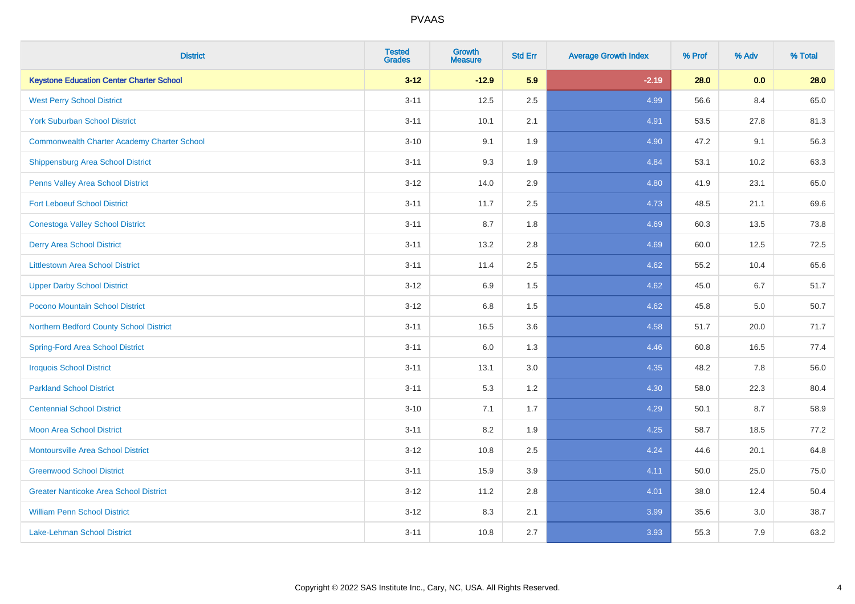| <b>District</b>                                    | <b>Tested</b><br><b>Grades</b> | <b>Growth</b><br><b>Measure</b> | <b>Std Err</b> | <b>Average Growth Index</b> | % Prof | % Adv | % Total |
|----------------------------------------------------|--------------------------------|---------------------------------|----------------|-----------------------------|--------|-------|---------|
| <b>Keystone Education Center Charter School</b>    | $3 - 12$                       | $-12.9$                         | 5.9            | $-2.19$                     | 28.0   | 0.0   | 28.0    |
| <b>West Perry School District</b>                  | $3 - 11$                       | 12.5                            | 2.5            | 4.99                        | 56.6   | 8.4   | 65.0    |
| <b>York Suburban School District</b>               | $3 - 11$                       | 10.1                            | 2.1            | 4.91                        | 53.5   | 27.8  | 81.3    |
| <b>Commonwealth Charter Academy Charter School</b> | $3 - 10$                       | 9.1                             | 1.9            | 4.90                        | 47.2   | 9.1   | 56.3    |
| Shippensburg Area School District                  | $3 - 11$                       | 9.3                             | 1.9            | 4.84                        | 53.1   | 10.2  | 63.3    |
| Penns Valley Area School District                  | $3 - 12$                       | 14.0                            | 2.9            | 4.80                        | 41.9   | 23.1  | 65.0    |
| <b>Fort Leboeuf School District</b>                | $3 - 11$                       | 11.7                            | 2.5            | 4.73                        | 48.5   | 21.1  | 69.6    |
| <b>Conestoga Valley School District</b>            | $3 - 11$                       | 8.7                             | 1.8            | 4.69                        | 60.3   | 13.5  | 73.8    |
| <b>Derry Area School District</b>                  | $3 - 11$                       | 13.2                            | 2.8            | 4.69                        | 60.0   | 12.5  | 72.5    |
| <b>Littlestown Area School District</b>            | $3 - 11$                       | 11.4                            | $2.5\,$        | 4.62                        | 55.2   | 10.4  | 65.6    |
| <b>Upper Darby School District</b>                 | $3 - 12$                       | 6.9                             | 1.5            | 4.62                        | 45.0   | 6.7   | 51.7    |
| Pocono Mountain School District                    | $3 - 12$                       | 6.8                             | 1.5            | 4.62                        | 45.8   | 5.0   | 50.7    |
| Northern Bedford County School District            | $3 - 11$                       | 16.5                            | 3.6            | 4.58                        | 51.7   | 20.0  | 71.7    |
| <b>Spring-Ford Area School District</b>            | $3 - 11$                       | 6.0                             | 1.3            | 4.46                        | 60.8   | 16.5  | 77.4    |
| <b>Iroquois School District</b>                    | $3 - 11$                       | 13.1                            | 3.0            | 4.35                        | 48.2   | 7.8   | 56.0    |
| <b>Parkland School District</b>                    | $3 - 11$                       | 5.3                             | 1.2            | 4.30                        | 58.0   | 22.3  | 80.4    |
| <b>Centennial School District</b>                  | $3 - 10$                       | 7.1                             | 1.7            | 4.29                        | 50.1   | 8.7   | 58.9    |
| <b>Moon Area School District</b>                   | $3 - 11$                       | 8.2                             | 1.9            | 4.25                        | 58.7   | 18.5  | 77.2    |
| <b>Montoursville Area School District</b>          | $3 - 12$                       | 10.8                            | 2.5            | 4.24                        | 44.6   | 20.1  | 64.8    |
| <b>Greenwood School District</b>                   | $3 - 11$                       | 15.9                            | 3.9            | 4.11                        | 50.0   | 25.0  | 75.0    |
| <b>Greater Nanticoke Area School District</b>      | $3 - 12$                       | 11.2                            | 2.8            | 4.01                        | 38.0   | 12.4  | 50.4    |
| <b>William Penn School District</b>                | $3 - 12$                       | 8.3                             | 2.1            | 3.99                        | 35.6   | 3.0   | 38.7    |
| <b>Lake-Lehman School District</b>                 | $3 - 11$                       | 10.8                            | 2.7            | 3.93                        | 55.3   | 7.9   | 63.2    |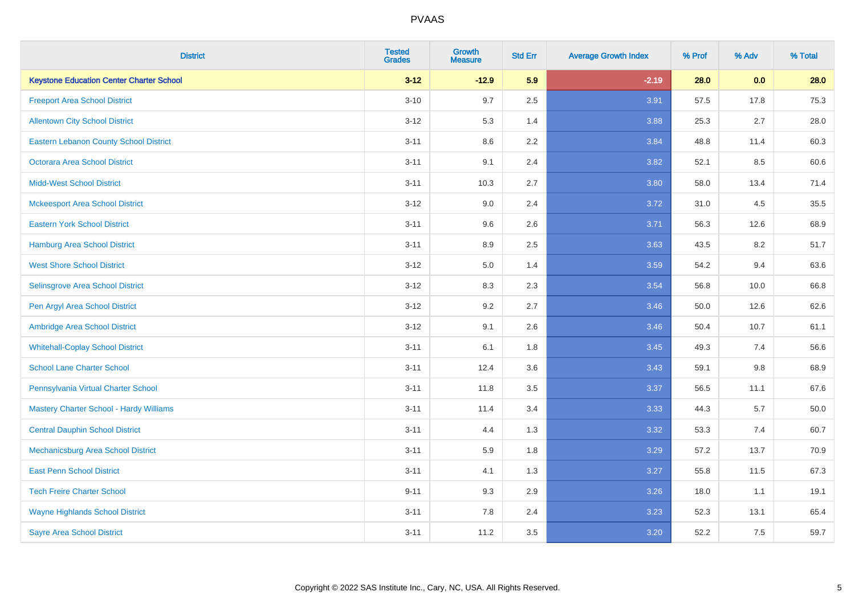| <b>District</b>                                 | <b>Tested</b><br><b>Grades</b> | <b>Growth</b><br><b>Measure</b> | <b>Std Err</b> | <b>Average Growth Index</b> | % Prof | % Adv   | % Total  |
|-------------------------------------------------|--------------------------------|---------------------------------|----------------|-----------------------------|--------|---------|----------|
| <b>Keystone Education Center Charter School</b> | $3 - 12$                       | $-12.9$                         | 5.9            | $-2.19$                     | 28.0   | 0.0     | 28.0     |
| <b>Freeport Area School District</b>            | $3 - 10$                       | 9.7                             | 2.5            | 3.91                        | 57.5   | 17.8    | 75.3     |
| <b>Allentown City School District</b>           | $3 - 12$                       | 5.3                             | 1.4            | 3.88                        | 25.3   | 2.7     | 28.0     |
| <b>Eastern Lebanon County School District</b>   | $3 - 11$                       | 8.6                             | 2.2            | 3.84                        | 48.8   | 11.4    | 60.3     |
| <b>Octorara Area School District</b>            | $3 - 11$                       | 9.1                             | 2.4            | 3.82                        | 52.1   | 8.5     | 60.6     |
| <b>Midd-West School District</b>                | $3 - 11$                       | 10.3                            | 2.7            | 3.80                        | 58.0   | 13.4    | 71.4     |
| <b>Mckeesport Area School District</b>          | $3 - 12$                       | 9.0                             | 2.4            | 3.72                        | 31.0   | 4.5     | 35.5     |
| <b>Eastern York School District</b>             | $3 - 11$                       | 9.6                             | 2.6            | 3.71                        | 56.3   | 12.6    | 68.9     |
| <b>Hamburg Area School District</b>             | $3 - 11$                       | 8.9                             | 2.5            | 3.63                        | 43.5   | 8.2     | 51.7     |
| <b>West Shore School District</b>               | $3 - 12$                       | 5.0                             | 1.4            | 3.59                        | 54.2   | 9.4     | 63.6     |
| Selinsgrove Area School District                | $3 - 12$                       | 8.3                             | 2.3            | 3.54                        | 56.8   | 10.0    | 66.8     |
| Pen Argyl Area School District                  | $3 - 12$                       | 9.2                             | 2.7            | 3.46                        | 50.0   | 12.6    | 62.6     |
| Ambridge Area School District                   | $3 - 12$                       | 9.1                             | 2.6            | 3.46                        | 50.4   | 10.7    | 61.1     |
| <b>Whitehall-Coplay School District</b>         | $3 - 11$                       | 6.1                             | 1.8            | 3.45                        | 49.3   | 7.4     | 56.6     |
| <b>School Lane Charter School</b>               | $3 - 11$                       | 12.4                            | 3.6            | 3.43                        | 59.1   | $9.8\,$ | 68.9     |
| Pennsylvania Virtual Charter School             | $3 - 11$                       | 11.8                            | $3.5\,$        | 3.37                        | 56.5   | 11.1    | 67.6     |
| Mastery Charter School - Hardy Williams         | $3 - 11$                       | 11.4                            | 3.4            | 3.33                        | 44.3   | 5.7     | $50.0\,$ |
| <b>Central Dauphin School District</b>          | $3 - 11$                       | 4.4                             | 1.3            | 3.32                        | 53.3   | 7.4     | 60.7     |
| Mechanicsburg Area School District              | $3 - 11$                       | 5.9                             | 1.8            | 3.29                        | 57.2   | 13.7    | 70.9     |
| <b>East Penn School District</b>                | $3 - 11$                       | 4.1                             | 1.3            | 3.27                        | 55.8   | 11.5    | 67.3     |
| <b>Tech Freire Charter School</b>               | $9 - 11$                       | 9.3                             | 2.9            | 3.26                        | 18.0   | 1.1     | 19.1     |
| <b>Wayne Highlands School District</b>          | $3 - 11$                       | 7.8                             | 2.4            | 3.23                        | 52.3   | 13.1    | 65.4     |
| <b>Sayre Area School District</b>               | $3 - 11$                       | 11.2                            | 3.5            | 3.20                        | 52.2   | 7.5     | 59.7     |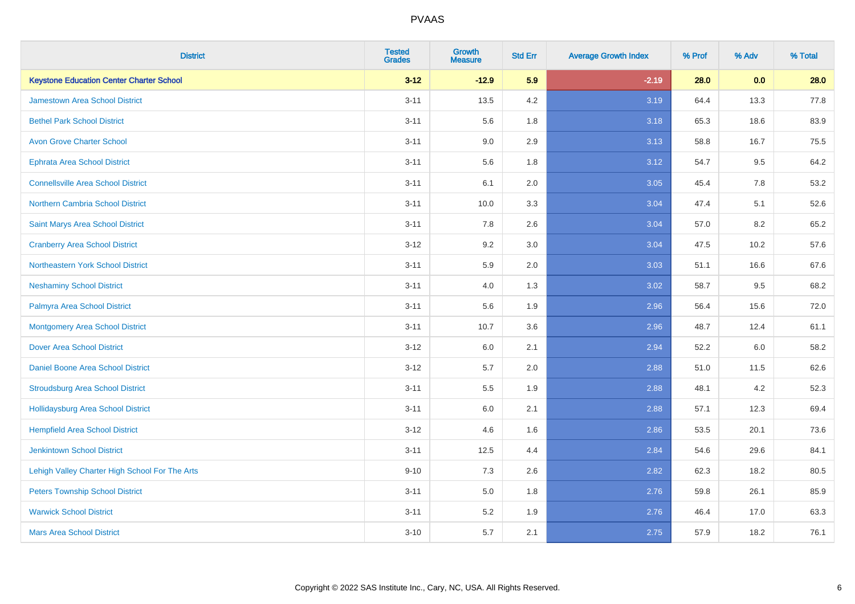| <b>District</b>                                 | <b>Tested</b><br><b>Grades</b> | <b>Growth</b><br><b>Measure</b> | <b>Std Err</b> | <b>Average Growth Index</b> | % Prof | % Adv | % Total |
|-------------------------------------------------|--------------------------------|---------------------------------|----------------|-----------------------------|--------|-------|---------|
| <b>Keystone Education Center Charter School</b> | $3 - 12$                       | $-12.9$                         | 5.9            | $-2.19$                     | 28.0   | 0.0   | 28.0    |
| <b>Jamestown Area School District</b>           | $3 - 11$                       | 13.5                            | 4.2            | 3.19                        | 64.4   | 13.3  | 77.8    |
| <b>Bethel Park School District</b>              | $3 - 11$                       | 5.6                             | 1.8            | 3.18                        | 65.3   | 18.6  | 83.9    |
| <b>Avon Grove Charter School</b>                | $3 - 11$                       | 9.0                             | 2.9            | 3.13                        | 58.8   | 16.7  | 75.5    |
| <b>Ephrata Area School District</b>             | $3 - 11$                       | 5.6                             | 1.8            | 3.12                        | 54.7   | 9.5   | 64.2    |
| <b>Connellsville Area School District</b>       | $3 - 11$                       | 6.1                             | 2.0            | 3.05                        | 45.4   | 7.8   | 53.2    |
| Northern Cambria School District                | $3 - 11$                       | 10.0                            | 3.3            | 3.04                        | 47.4   | 5.1   | 52.6    |
| Saint Marys Area School District                | $3 - 11$                       | 7.8                             | 2.6            | 3.04                        | 57.0   | 8.2   | 65.2    |
| <b>Cranberry Area School District</b>           | $3 - 12$                       | 9.2                             | 3.0            | 3.04                        | 47.5   | 10.2  | 57.6    |
| Northeastern York School District               | $3 - 11$                       | 5.9                             | 2.0            | 3.03                        | 51.1   | 16.6  | 67.6    |
| <b>Neshaminy School District</b>                | $3 - 11$                       | 4.0                             | 1.3            | 3.02                        | 58.7   | 9.5   | 68.2    |
| Palmyra Area School District                    | $3 - 11$                       | 5.6                             | 1.9            | 2.96                        | 56.4   | 15.6  | 72.0    |
| <b>Montgomery Area School District</b>          | $3 - 11$                       | 10.7                            | 3.6            | 2.96                        | 48.7   | 12.4  | 61.1    |
| <b>Dover Area School District</b>               | $3-12$                         | 6.0                             | 2.1            | 2.94                        | 52.2   | 6.0   | 58.2    |
| <b>Daniel Boone Area School District</b>        | $3 - 12$                       | 5.7                             | 2.0            | 2.88                        | 51.0   | 11.5  | 62.6    |
| <b>Stroudsburg Area School District</b>         | $3 - 11$                       | 5.5                             | 1.9            | 2.88                        | 48.1   | 4.2   | 52.3    |
| Hollidaysburg Area School District              | $3 - 11$                       | 6.0                             | 2.1            | 2.88                        | 57.1   | 12.3  | 69.4    |
| <b>Hempfield Area School District</b>           | $3 - 12$                       | 4.6                             | 1.6            | 2.86                        | 53.5   | 20.1  | 73.6    |
| <b>Jenkintown School District</b>               | $3 - 11$                       | 12.5                            | 4.4            | 2.84                        | 54.6   | 29.6  | 84.1    |
| Lehigh Valley Charter High School For The Arts  | $9 - 10$                       | 7.3                             | 2.6            | 2.82                        | 62.3   | 18.2  | 80.5    |
| <b>Peters Township School District</b>          | $3 - 11$                       | 5.0                             | 1.8            | 2.76                        | 59.8   | 26.1  | 85.9    |
| <b>Warwick School District</b>                  | $3 - 11$                       | 5.2                             | 1.9            | 2.76                        | 46.4   | 17.0  | 63.3    |
| <b>Mars Area School District</b>                | $3 - 10$                       | 5.7                             | 2.1            | 2.75                        | 57.9   | 18.2  | 76.1    |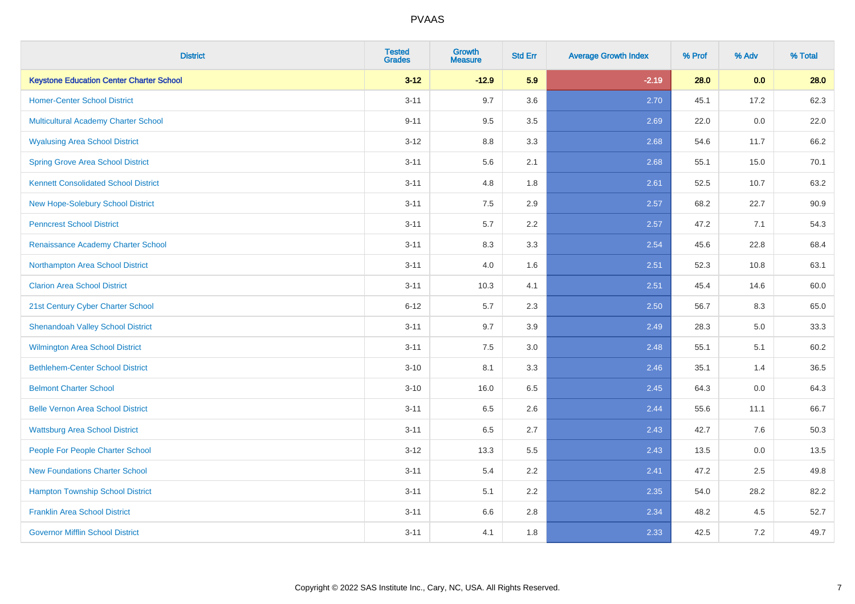| <b>District</b>                                 | <b>Tested</b><br><b>Grades</b> | <b>Growth</b><br><b>Measure</b> | <b>Std Err</b> | <b>Average Growth Index</b> | % Prof | % Adv | % Total |
|-------------------------------------------------|--------------------------------|---------------------------------|----------------|-----------------------------|--------|-------|---------|
| <b>Keystone Education Center Charter School</b> | $3 - 12$                       | $-12.9$                         | 5.9            | $-2.19$                     | 28.0   | 0.0   | 28.0    |
| <b>Homer-Center School District</b>             | $3 - 11$                       | 9.7                             | 3.6            | 2.70                        | 45.1   | 17.2  | 62.3    |
| <b>Multicultural Academy Charter School</b>     | $9 - 11$                       | 9.5                             | 3.5            | 2.69                        | 22.0   | 0.0   | 22.0    |
| <b>Wyalusing Area School District</b>           | $3 - 12$                       | 8.8                             | 3.3            | 2.68                        | 54.6   | 11.7  | 66.2    |
| <b>Spring Grove Area School District</b>        | $3 - 11$                       | 5.6                             | 2.1            | 2.68                        | 55.1   | 15.0  | 70.1    |
| <b>Kennett Consolidated School District</b>     | $3 - 11$                       | 4.8                             | 1.8            | 2.61                        | 52.5   | 10.7  | 63.2    |
| New Hope-Solebury School District               | $3 - 11$                       | $7.5\,$                         | 2.9            | 2.57                        | 68.2   | 22.7  | 90.9    |
| <b>Penncrest School District</b>                | $3 - 11$                       | 5.7                             | 2.2            | 2.57                        | 47.2   | 7.1   | 54.3    |
| Renaissance Academy Charter School              | $3 - 11$                       | 8.3                             | 3.3            | 2.54                        | 45.6   | 22.8  | 68.4    |
| Northampton Area School District                | $3 - 11$                       | 4.0                             | 1.6            | 2.51                        | 52.3   | 10.8  | 63.1    |
| <b>Clarion Area School District</b>             | $3 - 11$                       | 10.3                            | 4.1            | 2.51                        | 45.4   | 14.6  | 60.0    |
| 21st Century Cyber Charter School               | $6 - 12$                       | 5.7                             | 2.3            | 2.50                        | 56.7   | 8.3   | 65.0    |
| <b>Shenandoah Valley School District</b>        | $3 - 11$                       | 9.7                             | 3.9            | 2.49                        | 28.3   | 5.0   | 33.3    |
| Wilmington Area School District                 | $3 - 11$                       | 7.5                             | 3.0            | 2.48                        | 55.1   | 5.1   | 60.2    |
| <b>Bethlehem-Center School District</b>         | $3 - 10$                       | 8.1                             | 3.3            | 2.46                        | 35.1   | 1.4   | 36.5    |
| <b>Belmont Charter School</b>                   | $3 - 10$                       | 16.0                            | 6.5            | 2.45                        | 64.3   | 0.0   | 64.3    |
| <b>Belle Vernon Area School District</b>        | $3 - 11$                       | 6.5                             | 2.6            | 2.44                        | 55.6   | 11.1  | 66.7    |
| <b>Wattsburg Area School District</b>           | $3 - 11$                       | 6.5                             | 2.7            | 2.43                        | 42.7   | 7.6   | 50.3    |
| People For People Charter School                | $3 - 12$                       | 13.3                            | 5.5            | 2.43                        | 13.5   | 0.0   | 13.5    |
| <b>New Foundations Charter School</b>           | $3 - 11$                       | 5.4                             | 2.2            | 2.41                        | 47.2   | 2.5   | 49.8    |
| <b>Hampton Township School District</b>         | $3 - 11$                       | 5.1                             | 2.2            | 2.35                        | 54.0   | 28.2  | 82.2    |
| <b>Franklin Area School District</b>            | $3 - 11$                       | 6.6                             | 2.8            | 2.34                        | 48.2   | 4.5   | 52.7    |
| <b>Governor Mifflin School District</b>         | $3 - 11$                       | 4.1                             | 1.8            | 2.33                        | 42.5   | 7.2   | 49.7    |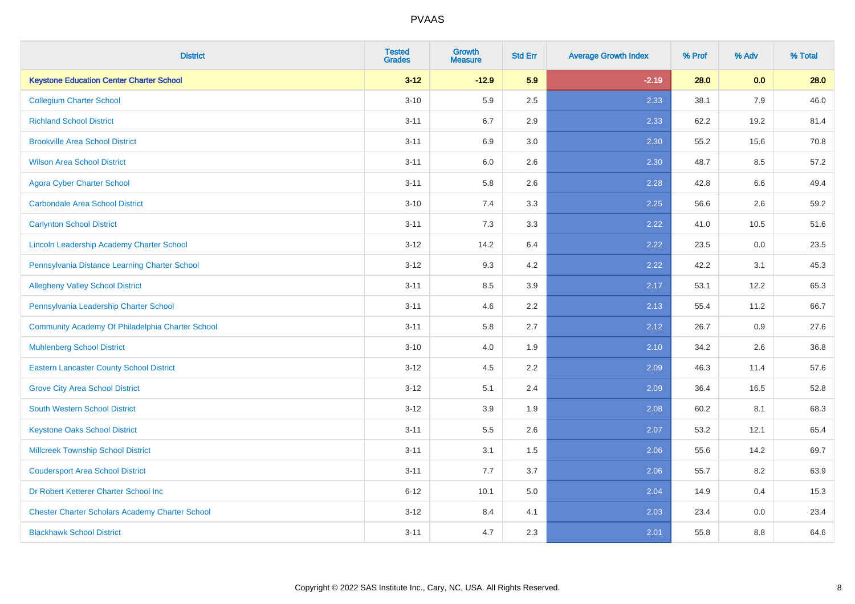| <b>District</b>                                        | <b>Tested</b><br><b>Grades</b> | <b>Growth</b><br><b>Measure</b> | <b>Std Err</b> | <b>Average Growth Index</b> | % Prof | % Adv | % Total |
|--------------------------------------------------------|--------------------------------|---------------------------------|----------------|-----------------------------|--------|-------|---------|
| <b>Keystone Education Center Charter School</b>        | $3 - 12$                       | $-12.9$                         | 5.9            | $-2.19$                     | 28.0   | 0.0   | 28.0    |
| <b>Collegium Charter School</b>                        | $3 - 10$                       | 5.9                             | 2.5            | 2.33                        | 38.1   | 7.9   | 46.0    |
| <b>Richland School District</b>                        | $3 - 11$                       | 6.7                             | 2.9            | 2.33                        | 62.2   | 19.2  | 81.4    |
| <b>Brookville Area School District</b>                 | $3 - 11$                       | 6.9                             | 3.0            | 2.30                        | 55.2   | 15.6  | 70.8    |
| <b>Wilson Area School District</b>                     | $3 - 11$                       | 6.0                             | 2.6            | 2.30                        | 48.7   | 8.5   | 57.2    |
| <b>Agora Cyber Charter School</b>                      | $3 - 11$                       | 5.8                             | 2.6            | 2.28                        | 42.8   | 6.6   | 49.4    |
| <b>Carbondale Area School District</b>                 | $3 - 10$                       | 7.4                             | 3.3            | 2.25                        | 56.6   | 2.6   | 59.2    |
| <b>Carlynton School District</b>                       | $3 - 11$                       | 7.3                             | 3.3            | 2.22                        | 41.0   | 10.5  | 51.6    |
| Lincoln Leadership Academy Charter School              | $3 - 12$                       | 14.2                            | 6.4            | 2.22                        | 23.5   | 0.0   | 23.5    |
| Pennsylvania Distance Learning Charter School          | $3 - 12$                       | 9.3                             | 4.2            | 2.22                        | 42.2   | 3.1   | 45.3    |
| <b>Allegheny Valley School District</b>                | $3 - 11$                       | 8.5                             | 3.9            | 2.17                        | 53.1   | 12.2  | 65.3    |
| Pennsylvania Leadership Charter School                 | $3 - 11$                       | 4.6                             | 2.2            | 2.13                        | 55.4   | 11.2  | 66.7    |
| Community Academy Of Philadelphia Charter School       | $3 - 11$                       | 5.8                             | 2.7            | 2.12                        | 26.7   | 0.9   | 27.6    |
| <b>Muhlenberg School District</b>                      | $3 - 10$                       | 4.0                             | 1.9            | 2.10                        | 34.2   | 2.6   | 36.8    |
| <b>Eastern Lancaster County School District</b>        | $3 - 12$                       | 4.5                             | 2.2            | 2.09                        | 46.3   | 11.4  | 57.6    |
| <b>Grove City Area School District</b>                 | $3 - 12$                       | 5.1                             | 2.4            | 2.09                        | 36.4   | 16.5  | 52.8    |
| <b>South Western School District</b>                   | $3 - 12$                       | 3.9                             | 1.9            | 2.08                        | 60.2   | 8.1   | 68.3    |
| <b>Keystone Oaks School District</b>                   | $3 - 11$                       | 5.5                             | 2.6            | 2.07                        | 53.2   | 12.1  | 65.4    |
| <b>Millcreek Township School District</b>              | $3 - 11$                       | 3.1                             | 1.5            | 2.06                        | 55.6   | 14.2  | 69.7    |
| <b>Coudersport Area School District</b>                | $3 - 11$                       | 7.7                             | 3.7            | 2.06                        | 55.7   | 8.2   | 63.9    |
| Dr Robert Ketterer Charter School Inc                  | $6 - 12$                       | 10.1                            | 5.0            | 2.04                        | 14.9   | 0.4   | 15.3    |
| <b>Chester Charter Scholars Academy Charter School</b> | $3 - 12$                       | 8.4                             | 4.1            | 2.03                        | 23.4   | 0.0   | 23.4    |
| <b>Blackhawk School District</b>                       | $3 - 11$                       | 4.7                             | 2.3            | 2.01                        | 55.8   | 8.8   | 64.6    |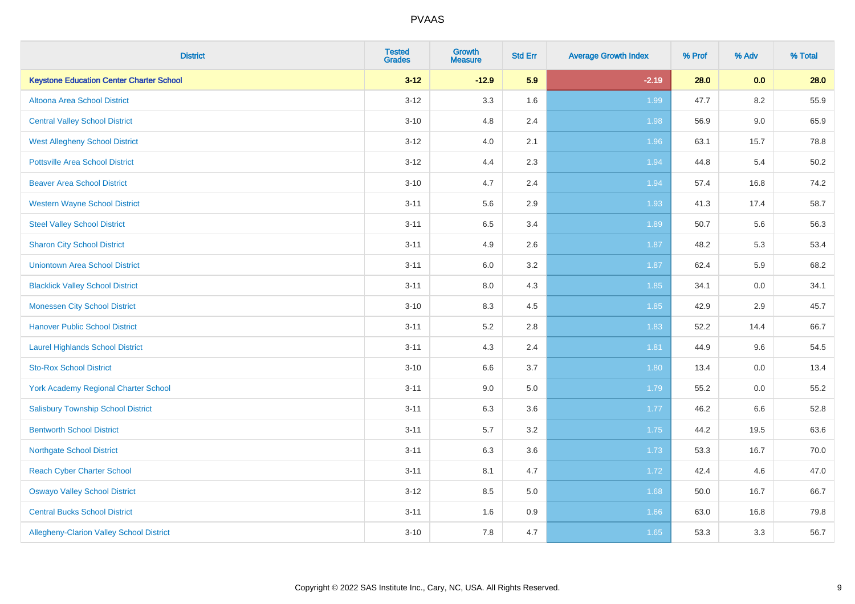| <b>District</b>                                 | <b>Tested</b><br><b>Grades</b> | <b>Growth</b><br><b>Measure</b> | <b>Std Err</b> | <b>Average Growth Index</b> | % Prof | % Adv   | % Total |
|-------------------------------------------------|--------------------------------|---------------------------------|----------------|-----------------------------|--------|---------|---------|
| <b>Keystone Education Center Charter School</b> | $3 - 12$                       | $-12.9$                         | 5.9            | $-2.19$                     | 28.0   | 0.0     | 28.0    |
| Altoona Area School District                    | $3 - 12$                       | 3.3                             | 1.6            | 1.99                        | 47.7   | $8.2\,$ | 55.9    |
| <b>Central Valley School District</b>           | $3 - 10$                       | 4.8                             | 2.4            | 1.98                        | 56.9   | 9.0     | 65.9    |
| <b>West Allegheny School District</b>           | $3 - 12$                       | 4.0                             | 2.1            | 1.96                        | 63.1   | 15.7    | 78.8    |
| <b>Pottsville Area School District</b>          | $3 - 12$                       | 4.4                             | 2.3            | 1.94                        | 44.8   | 5.4     | 50.2    |
| <b>Beaver Area School District</b>              | $3 - 10$                       | 4.7                             | 2.4            | 1.94                        | 57.4   | 16.8    | 74.2    |
| <b>Western Wayne School District</b>            | $3 - 11$                       | 5.6                             | 2.9            | 1.93                        | 41.3   | 17.4    | 58.7    |
| <b>Steel Valley School District</b>             | $3 - 11$                       | 6.5                             | 3.4            | 1.89                        | 50.7   | 5.6     | 56.3    |
| <b>Sharon City School District</b>              | $3 - 11$                       | 4.9                             | 2.6            | 1.87                        | 48.2   | 5.3     | 53.4    |
| <b>Uniontown Area School District</b>           | $3 - 11$                       | 6.0                             | 3.2            | 1.87                        | 62.4   | 5.9     | 68.2    |
| <b>Blacklick Valley School District</b>         | $3 - 11$                       | $8.0\,$                         | 4.3            | 1.85                        | 34.1   | 0.0     | 34.1    |
| <b>Monessen City School District</b>            | $3 - 10$                       | 8.3                             | 4.5            | 1.85                        | 42.9   | 2.9     | 45.7    |
| <b>Hanover Public School District</b>           | $3 - 11$                       | 5.2                             | 2.8            | 1.83                        | 52.2   | 14.4    | 66.7    |
| <b>Laurel Highlands School District</b>         | $3 - 11$                       | 4.3                             | 2.4            | 1.81                        | 44.9   | 9.6     | 54.5    |
| <b>Sto-Rox School District</b>                  | $3 - 10$                       | 6.6                             | 3.7            | 1.80                        | 13.4   | 0.0     | 13.4    |
| York Academy Regional Charter School            | $3 - 11$                       | 9.0                             | 5.0            | 1.79                        | 55.2   | $0.0\,$ | 55.2    |
| <b>Salisbury Township School District</b>       | $3 - 11$                       | 6.3                             | 3.6            | 1.77                        | 46.2   | 6.6     | 52.8    |
| <b>Bentworth School District</b>                | $3 - 11$                       | 5.7                             | 3.2            | 1.75                        | 44.2   | 19.5    | 63.6    |
| <b>Northgate School District</b>                | $3 - 11$                       | 6.3                             | 3.6            | 1.73                        | 53.3   | 16.7    | 70.0    |
| <b>Reach Cyber Charter School</b>               | $3 - 11$                       | 8.1                             | 4.7            | 1.72                        | 42.4   | 4.6     | 47.0    |
| <b>Oswayo Valley School District</b>            | $3 - 12$                       | 8.5                             | 5.0            | 1.68                        | 50.0   | 16.7    | 66.7    |
| <b>Central Bucks School District</b>            | $3 - 11$                       | 1.6                             | 0.9            | 1.66                        | 63.0   | 16.8    | 79.8    |
| Allegheny-Clarion Valley School District        | $3 - 10$                       | 7.8                             | 4.7            | 1.65                        | 53.3   | 3.3     | 56.7    |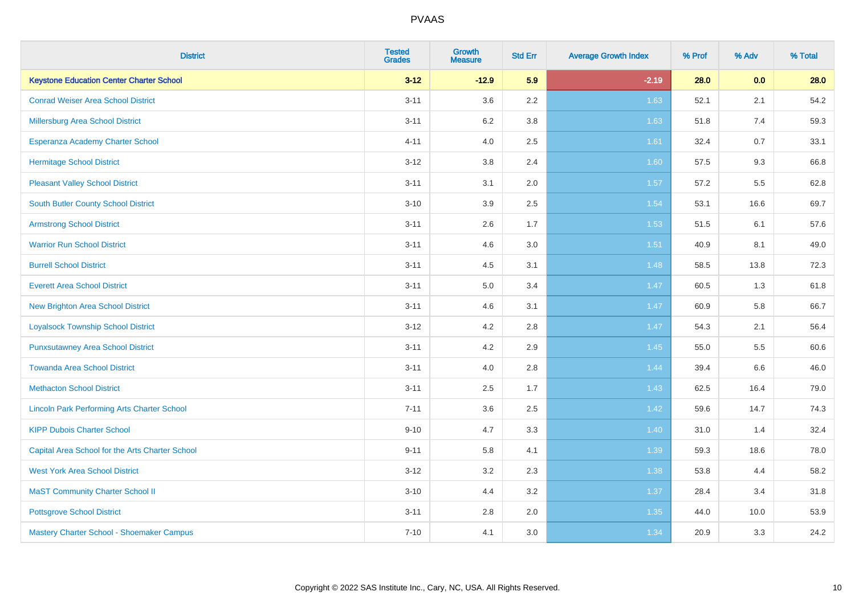| <b>District</b>                                    | <b>Tested</b><br><b>Grades</b> | <b>Growth</b><br><b>Measure</b> | <b>Std Err</b> | <b>Average Growth Index</b> | % Prof | % Adv | % Total |
|----------------------------------------------------|--------------------------------|---------------------------------|----------------|-----------------------------|--------|-------|---------|
| <b>Keystone Education Center Charter School</b>    | $3 - 12$                       | $-12.9$                         | 5.9            | $-2.19$                     | 28.0   | 0.0   | 28.0    |
| <b>Conrad Weiser Area School District</b>          | $3 - 11$                       | 3.6                             | 2.2            | 1.63                        | 52.1   | 2.1   | 54.2    |
| Millersburg Area School District                   | $3 - 11$                       | 6.2                             | 3.8            | 1.63                        | 51.8   | 7.4   | 59.3    |
| Esperanza Academy Charter School                   | $4 - 11$                       | 4.0                             | 2.5            | 1.61                        | 32.4   | 0.7   | 33.1    |
| <b>Hermitage School District</b>                   | $3 - 12$                       | 3.8                             | 2.4            | 1.60                        | 57.5   | 9.3   | 66.8    |
| <b>Pleasant Valley School District</b>             | $3 - 11$                       | 3.1                             | 2.0            | 1.57                        | 57.2   | 5.5   | 62.8    |
| <b>South Butler County School District</b>         | $3 - 10$                       | 3.9                             | 2.5            | 1.54                        | 53.1   | 16.6  | 69.7    |
| <b>Armstrong School District</b>                   | $3 - 11$                       | 2.6                             | 1.7            | 1.53                        | 51.5   | 6.1   | 57.6    |
| <b>Warrior Run School District</b>                 | $3 - 11$                       | 4.6                             | 3.0            | 1.51                        | 40.9   | 8.1   | 49.0    |
| <b>Burrell School District</b>                     | $3 - 11$                       | 4.5                             | 3.1            | 1.48                        | 58.5   | 13.8  | 72.3    |
| <b>Everett Area School District</b>                | $3 - 11$                       | 5.0                             | 3.4            | 1.47                        | 60.5   | 1.3   | 61.8    |
| <b>New Brighton Area School District</b>           | $3 - 11$                       | 4.6                             | 3.1            | 1.47                        | 60.9   | 5.8   | 66.7    |
| <b>Loyalsock Township School District</b>          | $3 - 12$                       | 4.2                             | 2.8            | 1.47                        | 54.3   | 2.1   | 56.4    |
| <b>Punxsutawney Area School District</b>           | $3 - 11$                       | 4.2                             | 2.9            | 1.45                        | 55.0   | 5.5   | 60.6    |
| <b>Towanda Area School District</b>                | $3 - 11$                       | 4.0                             | 2.8            | 1.44                        | 39.4   | 6.6   | 46.0    |
| <b>Methacton School District</b>                   | $3 - 11$                       | 2.5                             | 1.7            | 1.43                        | 62.5   | 16.4  | 79.0    |
| <b>Lincoln Park Performing Arts Charter School</b> | $7 - 11$                       | 3.6                             | 2.5            | 1.42                        | 59.6   | 14.7  | 74.3    |
| <b>KIPP Dubois Charter School</b>                  | $9 - 10$                       | 4.7                             | 3.3            | 1.40                        | 31.0   | 1.4   | 32.4    |
| Capital Area School for the Arts Charter School    | $9 - 11$                       | 5.8                             | 4.1            | 1.39                        | 59.3   | 18.6  | 78.0    |
| <b>West York Area School District</b>              | $3 - 12$                       | 3.2                             | 2.3            | 1.38                        | 53.8   | 4.4   | 58.2    |
| <b>MaST Community Charter School II</b>            | $3 - 10$                       | 4.4                             | 3.2            | 1.37                        | 28.4   | 3.4   | 31.8    |
| <b>Pottsgrove School District</b>                  | $3 - 11$                       | 2.8                             | 2.0            | 1.35                        | 44.0   | 10.0  | 53.9    |
| Mastery Charter School - Shoemaker Campus          | $7 - 10$                       | 4.1                             | 3.0            | 1.34                        | 20.9   | 3.3   | 24.2    |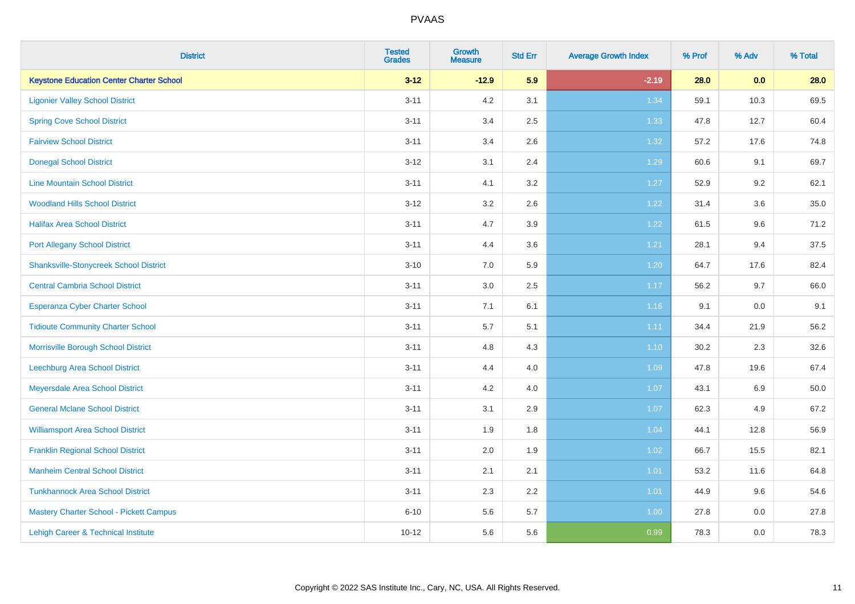| <b>District</b>                                 | <b>Tested</b><br><b>Grades</b> | <b>Growth</b><br><b>Measure</b> | <b>Std Err</b> | <b>Average Growth Index</b> | % Prof | % Adv | % Total |
|-------------------------------------------------|--------------------------------|---------------------------------|----------------|-----------------------------|--------|-------|---------|
| <b>Keystone Education Center Charter School</b> | $3 - 12$                       | $-12.9$                         | 5.9            | $-2.19$                     | 28.0   | 0.0   | 28.0    |
| <b>Ligonier Valley School District</b>          | $3 - 11$                       | 4.2                             | 3.1            | 1.34                        | 59.1   | 10.3  | 69.5    |
| <b>Spring Cove School District</b>              | $3 - 11$                       | 3.4                             | 2.5            | 1.33                        | 47.8   | 12.7  | 60.4    |
| <b>Fairview School District</b>                 | $3 - 11$                       | 3.4                             | 2.6            | 1.32                        | 57.2   | 17.6  | 74.8    |
| <b>Donegal School District</b>                  | $3 - 12$                       | 3.1                             | 2.4            | 1.29                        | 60.6   | 9.1   | 69.7    |
| <b>Line Mountain School District</b>            | $3 - 11$                       | 4.1                             | 3.2            | 1.27                        | 52.9   | 9.2   | 62.1    |
| <b>Woodland Hills School District</b>           | $3 - 12$                       | 3.2                             | 2.6            | 1.22                        | 31.4   | 3.6   | 35.0    |
| <b>Halifax Area School District</b>             | $3 - 11$                       | 4.7                             | 3.9            | 1.22                        | 61.5   | 9.6   | 71.2    |
| <b>Port Allegany School District</b>            | $3 - 11$                       | 4.4                             | 3.6            | 1.21                        | 28.1   | 9.4   | 37.5    |
| <b>Shanksville-Stonycreek School District</b>   | $3 - 10$                       | 7.0                             | 5.9            | 1.20                        | 64.7   | 17.6  | 82.4    |
| <b>Central Cambria School District</b>          | $3 - 11$                       | 3.0                             | 2.5            | 1.17                        | 56.2   | 9.7   | 66.0    |
| Esperanza Cyber Charter School                  | $3 - 11$                       | 7.1                             | 6.1            | 1.16                        | 9.1    | 0.0   | 9.1     |
| <b>Tidioute Community Charter School</b>        | $3 - 11$                       | 5.7                             | 5.1            | 1.11                        | 34.4   | 21.9  | 56.2    |
| Morrisville Borough School District             | $3 - 11$                       | 4.8                             | 4.3            | 1.10                        | 30.2   | 2.3   | 32.6    |
| <b>Leechburg Area School District</b>           | $3 - 11$                       | 4.4                             | 4.0            | 1.09                        | 47.8   | 19.6  | 67.4    |
| Meyersdale Area School District                 | $3 - 11$                       | 4.2                             | 4.0            | 1.07                        | 43.1   | 6.9   | 50.0    |
| <b>General Mclane School District</b>           | $3 - 11$                       | 3.1                             | 2.9            | 1.07                        | 62.3   | 4.9   | 67.2    |
| <b>Williamsport Area School District</b>        | $3 - 11$                       | 1.9                             | 1.8            | 1.04                        | 44.1   | 12.8  | 56.9    |
| <b>Franklin Regional School District</b>        | $3 - 11$                       | 2.0                             | 1.9            | 1.02                        | 66.7   | 15.5  | 82.1    |
| <b>Manheim Central School District</b>          | $3 - 11$                       | 2.1                             | 2.1            | $1.01$                      | 53.2   | 11.6  | 64.8    |
| <b>Tunkhannock Area School District</b>         | $3 - 11$                       | 2.3                             | 2.2            | 1.01                        | 44.9   | 9.6   | 54.6    |
| Mastery Charter School - Pickett Campus         | $6 - 10$                       | 5.6                             | 5.7            | 1.00                        | 27.8   | 0.0   | 27.8    |
| Lehigh Career & Technical Institute             | $10 - 12$                      | 5.6                             | 5.6            | 0.99                        | 78.3   | 0.0   | 78.3    |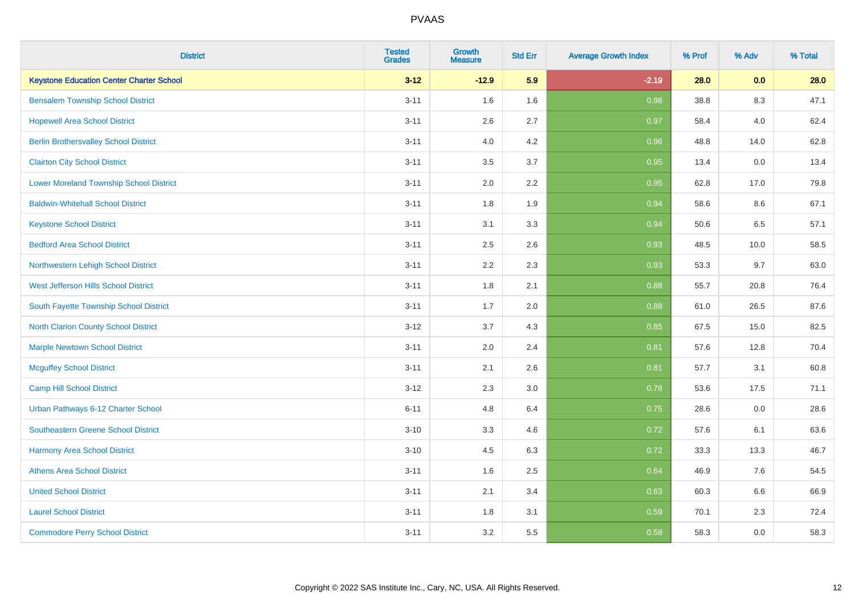| <b>District</b>                                 | <b>Tested</b><br><b>Grades</b> | <b>Growth</b><br><b>Measure</b> | <b>Std Err</b> | <b>Average Growth Index</b> | % Prof | % Adv   | % Total |
|-------------------------------------------------|--------------------------------|---------------------------------|----------------|-----------------------------|--------|---------|---------|
| <b>Keystone Education Center Charter School</b> | $3 - 12$                       | $-12.9$                         | 5.9            | $-2.19$                     | 28.0   | 0.0     | 28.0    |
| <b>Bensalem Township School District</b>        | $3 - 11$                       | 1.6                             | 1.6            | 0.98                        | 38.8   | 8.3     | 47.1    |
| <b>Hopewell Area School District</b>            | $3 - 11$                       | 2.6                             | 2.7            | 0.97                        | 58.4   | 4.0     | 62.4    |
| <b>Berlin Brothersvalley School District</b>    | $3 - 11$                       | 4.0                             | 4.2            | 0.96                        | 48.8   | 14.0    | 62.8    |
| <b>Clairton City School District</b>            | $3 - 11$                       | 3.5                             | 3.7            | 0.95                        | 13.4   | 0.0     | 13.4    |
| <b>Lower Moreland Township School District</b>  | $3 - 11$                       | 2.0                             | 2.2            | 0.95                        | 62.8   | 17.0    | 79.8    |
| <b>Baldwin-Whitehall School District</b>        | $3 - 11$                       | 1.8                             | 1.9            | 0.94                        | 58.6   | 8.6     | 67.1    |
| <b>Keystone School District</b>                 | $3 - 11$                       | 3.1                             | 3.3            | 0.94                        | 50.6   | 6.5     | 57.1    |
| <b>Bedford Area School District</b>             | $3 - 11$                       | 2.5                             | 2.6            | 0.93                        | 48.5   | 10.0    | 58.5    |
| Northwestern Lehigh School District             | $3 - 11$                       | 2.2                             | 2.3            | 0.93                        | 53.3   | 9.7     | 63.0    |
| West Jefferson Hills School District            | $3 - 11$                       | 1.8                             | 2.1            | 0.88                        | 55.7   | 20.8    | 76.4    |
| South Fayette Township School District          | $3 - 11$                       | 1.7                             | 2.0            | 0.88                        | 61.0   | 26.5    | 87.6    |
| North Clarion County School District            | $3 - 12$                       | 3.7                             | 4.3            | 0.85                        | 67.5   | 15.0    | 82.5    |
| <b>Marple Newtown School District</b>           | $3 - 11$                       | 2.0                             | 2.4            | 0.81                        | 57.6   | 12.8    | 70.4    |
| <b>Mcguffey School District</b>                 | $3 - 11$                       | 2.1                             | 2.6            | 0.81                        | 57.7   | 3.1     | 60.8    |
| <b>Camp Hill School District</b>                | $3 - 12$                       | 2.3                             | 3.0            | 0.78                        | 53.6   | 17.5    | 71.1    |
| Urban Pathways 6-12 Charter School              | $6 - 11$                       | 4.8                             | 6.4            | 0.75                        | 28.6   | 0.0     | 28.6    |
| Southeastern Greene School District             | $3 - 10$                       | 3.3                             | 4.6            | 0.72                        | 57.6   | 6.1     | 63.6    |
| <b>Harmony Area School District</b>             | $3 - 10$                       | 4.5                             | 6.3            | 0.72                        | 33.3   | 13.3    | 46.7    |
| <b>Athens Area School District</b>              | $3 - 11$                       | 1.6                             | 2.5            | 0.64                        | 46.9   | 7.6     | 54.5    |
| <b>United School District</b>                   | $3 - 11$                       | 2.1                             | 3.4            | 0.63                        | 60.3   | $6.6\,$ | 66.9    |
| <b>Laurel School District</b>                   | $3 - 11$                       | 1.8                             | 3.1            | 0.59                        | 70.1   | 2.3     | 72.4    |
| <b>Commodore Perry School District</b>          | $3 - 11$                       | 3.2                             | 5.5            | 0.58                        | 58.3   | 0.0     | 58.3    |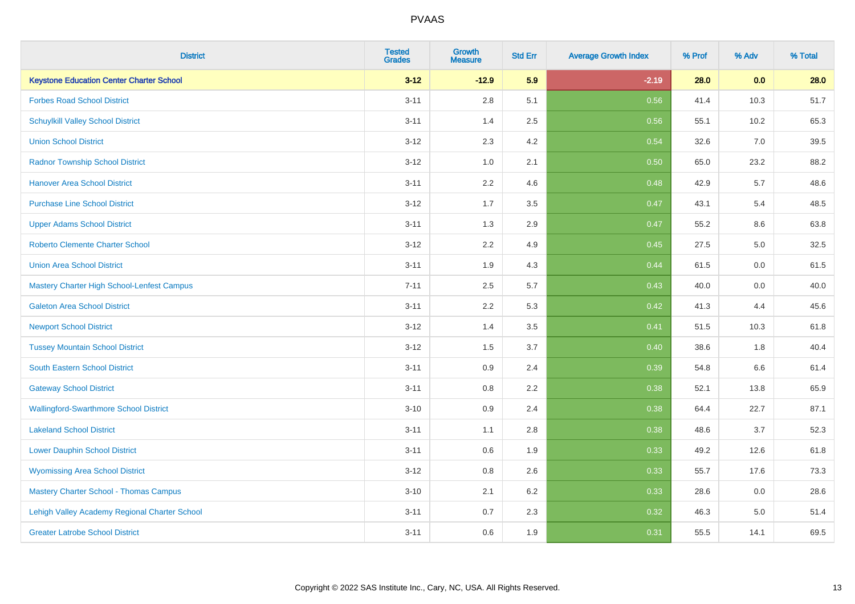| <b>District</b>                                   | <b>Tested</b><br><b>Grades</b> | <b>Growth</b><br><b>Measure</b> | <b>Std Err</b> | <b>Average Growth Index</b> | % Prof | % Adv | % Total |
|---------------------------------------------------|--------------------------------|---------------------------------|----------------|-----------------------------|--------|-------|---------|
| <b>Keystone Education Center Charter School</b>   | $3 - 12$                       | $-12.9$                         | 5.9            | $-2.19$                     | 28.0   | 0.0   | 28.0    |
| <b>Forbes Road School District</b>                | $3 - 11$                       | 2.8                             | 5.1            | 0.56                        | 41.4   | 10.3  | 51.7    |
| <b>Schuylkill Valley School District</b>          | $3 - 11$                       | 1.4                             | 2.5            | 0.56                        | 55.1   | 10.2  | 65.3    |
| <b>Union School District</b>                      | $3 - 12$                       | 2.3                             | 4.2            | 0.54                        | 32.6   | 7.0   | 39.5    |
| <b>Radnor Township School District</b>            | $3 - 12$                       | 1.0                             | 2.1            | 0.50                        | 65.0   | 23.2  | 88.2    |
| <b>Hanover Area School District</b>               | $3 - 11$                       | 2.2                             | 4.6            | 0.48                        | 42.9   | 5.7   | 48.6    |
| <b>Purchase Line School District</b>              | $3 - 12$                       | 1.7                             | 3.5            | 0.47                        | 43.1   | 5.4   | 48.5    |
| <b>Upper Adams School District</b>                | $3 - 11$                       | 1.3                             | 2.9            | 0.47                        | 55.2   | 8.6   | 63.8    |
| <b>Roberto Clemente Charter School</b>            | $3 - 12$                       | 2.2                             | 4.9            | 0.45                        | 27.5   | 5.0   | 32.5    |
| <b>Union Area School District</b>                 | $3 - 11$                       | 1.9                             | 4.3            | 0.44                        | 61.5   | 0.0   | 61.5    |
| <b>Mastery Charter High School-Lenfest Campus</b> | $7 - 11$                       | 2.5                             | 5.7            | 0.43                        | 40.0   | 0.0   | 40.0    |
| <b>Galeton Area School District</b>               | $3 - 11$                       | 2.2                             | 5.3            | 0.42                        | 41.3   | 4.4   | 45.6    |
| <b>Newport School District</b>                    | $3 - 12$                       | 1.4                             | 3.5            | 0.41                        | 51.5   | 10.3  | 61.8    |
| <b>Tussey Mountain School District</b>            | $3 - 12$                       | 1.5                             | 3.7            | 0.40                        | 38.6   | 1.8   | 40.4    |
| <b>South Eastern School District</b>              | $3 - 11$                       | 0.9                             | 2.4            | 0.39                        | 54.8   | 6.6   | 61.4    |
| <b>Gateway School District</b>                    | $3 - 11$                       | $0.8\,$                         | 2.2            | 0.38                        | 52.1   | 13.8  | 65.9    |
| <b>Wallingford-Swarthmore School District</b>     | $3 - 10$                       | 0.9                             | 2.4            | 0.38                        | 64.4   | 22.7  | 87.1    |
| <b>Lakeland School District</b>                   | $3 - 11$                       | 1.1                             | 2.8            | 0.38                        | 48.6   | 3.7   | 52.3    |
| <b>Lower Dauphin School District</b>              | $3 - 11$                       | $0.6\,$                         | 1.9            | 0.33                        | 49.2   | 12.6  | 61.8    |
| <b>Wyomissing Area School District</b>            | $3 - 12$                       | 0.8                             | 2.6            | 0.33                        | 55.7   | 17.6  | 73.3    |
| <b>Mastery Charter School - Thomas Campus</b>     | $3 - 10$                       | 2.1                             | 6.2            | 0.33                        | 28.6   | 0.0   | 28.6    |
| Lehigh Valley Academy Regional Charter School     | $3 - 11$                       | 0.7                             | 2.3            | 0.32                        | 46.3   | 5.0   | 51.4    |
| <b>Greater Latrobe School District</b>            | $3 - 11$                       | 0.6                             | 1.9            | 0.31                        | 55.5   | 14.1  | 69.5    |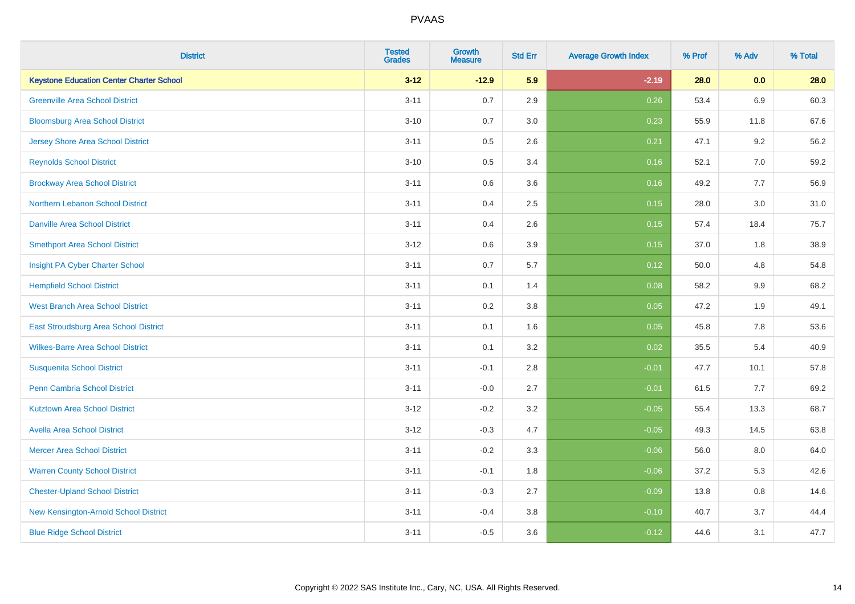| <b>District</b>                                 | <b>Tested</b><br><b>Grades</b> | <b>Growth</b><br><b>Measure</b> | <b>Std Err</b> | <b>Average Growth Index</b> | % Prof | % Adv   | % Total |
|-------------------------------------------------|--------------------------------|---------------------------------|----------------|-----------------------------|--------|---------|---------|
| <b>Keystone Education Center Charter School</b> | $3 - 12$                       | $-12.9$                         | 5.9            | $-2.19$                     | 28.0   | 0.0     | 28.0    |
| <b>Greenville Area School District</b>          | $3 - 11$                       | 0.7                             | 2.9            | 0.26                        | 53.4   | $6.9\,$ | 60.3    |
| <b>Bloomsburg Area School District</b>          | $3 - 10$                       | 0.7                             | 3.0            | 0.23                        | 55.9   | 11.8    | 67.6    |
| <b>Jersey Shore Area School District</b>        | $3 - 11$                       | 0.5                             | 2.6            | 0.21                        | 47.1   | 9.2     | 56.2    |
| <b>Reynolds School District</b>                 | $3 - 10$                       | 0.5                             | 3.4            | 0.16                        | 52.1   | 7.0     | 59.2    |
| <b>Brockway Area School District</b>            | $3 - 11$                       | 0.6                             | 3.6            | 0.16                        | 49.2   | 7.7     | 56.9    |
| Northern Lebanon School District                | $3 - 11$                       | 0.4                             | 2.5            | 0.15                        | 28.0   | 3.0     | 31.0    |
| <b>Danville Area School District</b>            | $3 - 11$                       | 0.4                             | 2.6            | 0.15                        | 57.4   | 18.4    | 75.7    |
| <b>Smethport Area School District</b>           | $3 - 12$                       | 0.6                             | 3.9            | 0.15                        | 37.0   | 1.8     | 38.9    |
| Insight PA Cyber Charter School                 | $3 - 11$                       | 0.7                             | 5.7            | 0.12                        | 50.0   | 4.8     | 54.8    |
| <b>Hempfield School District</b>                | $3 - 11$                       | 0.1                             | 1.4            | 0.08                        | 58.2   | 9.9     | 68.2    |
| <b>West Branch Area School District</b>         | $3 - 11$                       | 0.2                             | 3.8            | 0.05                        | 47.2   | 1.9     | 49.1    |
| East Stroudsburg Area School District           | $3 - 11$                       | 0.1                             | 1.6            | 0.05                        | 45.8   | $7.8\,$ | 53.6    |
| <b>Wilkes-Barre Area School District</b>        | $3 - 11$                       | 0.1                             | 3.2            | 0.02                        | 35.5   | 5.4     | 40.9    |
| <b>Susquenita School District</b>               | $3 - 11$                       | $-0.1$                          | 2.8            | $-0.01$                     | 47.7   | 10.1    | 57.8    |
| <b>Penn Cambria School District</b>             | $3 - 11$                       | $-0.0$                          | 2.7            | $-0.01$                     | 61.5   | 7.7     | 69.2    |
| <b>Kutztown Area School District</b>            | $3 - 12$                       | $-0.2$                          | 3.2            | $-0.05$                     | 55.4   | 13.3    | 68.7    |
| <b>Avella Area School District</b>              | $3 - 12$                       | $-0.3$                          | 4.7            | $-0.05$                     | 49.3   | 14.5    | 63.8    |
| <b>Mercer Area School District</b>              | $3 - 11$                       | $-0.2$                          | 3.3            | $-0.06$                     | 56.0   | 8.0     | 64.0    |
| <b>Warren County School District</b>            | $3 - 11$                       | $-0.1$                          | 1.8            | $-0.06$                     | 37.2   | 5.3     | 42.6    |
| <b>Chester-Upland School District</b>           | $3 - 11$                       | $-0.3$                          | 2.7            | $-0.09$                     | 13.8   | 0.8     | 14.6    |
| New Kensington-Arnold School District           | $3 - 11$                       | $-0.4$                          | 3.8            | $-0.10$                     | 40.7   | 3.7     | 44.4    |
| <b>Blue Ridge School District</b>               | $3 - 11$                       | $-0.5$                          | 3.6            | $-0.12$                     | 44.6   | 3.1     | 47.7    |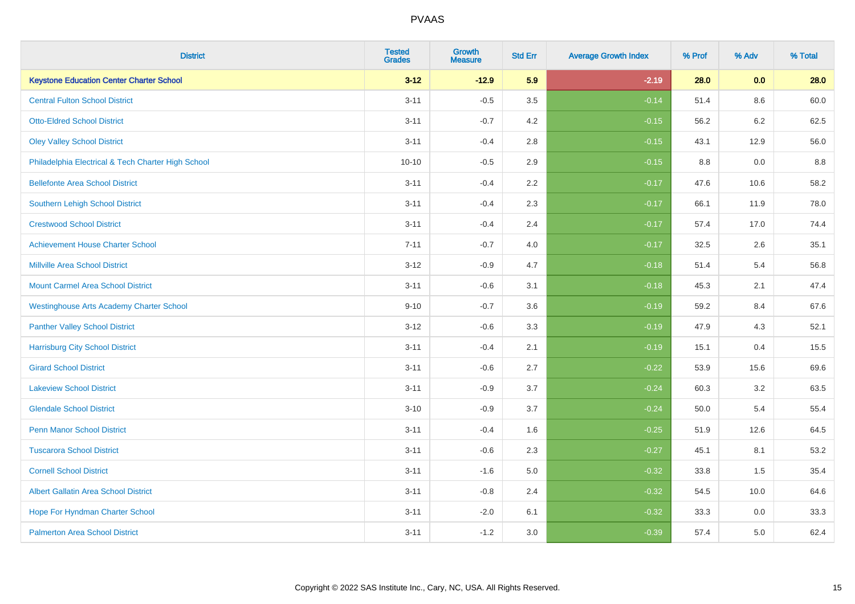| <b>District</b>                                    | <b>Tested</b><br><b>Grades</b> | <b>Growth</b><br><b>Measure</b> | <b>Std Err</b> | <b>Average Growth Index</b> | % Prof | % Adv   | % Total |
|----------------------------------------------------|--------------------------------|---------------------------------|----------------|-----------------------------|--------|---------|---------|
| <b>Keystone Education Center Charter School</b>    | $3 - 12$                       | $-12.9$                         | 5.9            | $-2.19$                     | 28.0   | 0.0     | 28.0    |
| <b>Central Fulton School District</b>              | $3 - 11$                       | $-0.5$                          | 3.5            | $-0.14$                     | 51.4   | $8.6\,$ | 60.0    |
| <b>Otto-Eldred School District</b>                 | $3 - 11$                       | $-0.7$                          | 4.2            | $-0.15$                     | 56.2   | 6.2     | 62.5    |
| <b>Oley Valley School District</b>                 | $3 - 11$                       | $-0.4$                          | 2.8            | $-0.15$                     | 43.1   | 12.9    | 56.0    |
| Philadelphia Electrical & Tech Charter High School | $10 - 10$                      | $-0.5$                          | 2.9            | $-0.15$                     | 8.8    | 0.0     | 8.8     |
| <b>Bellefonte Area School District</b>             | $3 - 11$                       | $-0.4$                          | 2.2            | $-0.17$                     | 47.6   | 10.6    | 58.2    |
| Southern Lehigh School District                    | $3 - 11$                       | $-0.4$                          | 2.3            | $-0.17$                     | 66.1   | 11.9    | 78.0    |
| <b>Crestwood School District</b>                   | $3 - 11$                       | $-0.4$                          | 2.4            | $-0.17$                     | 57.4   | 17.0    | 74.4    |
| <b>Achievement House Charter School</b>            | $7 - 11$                       | $-0.7$                          | 4.0            | $-0.17$                     | 32.5   | 2.6     | 35.1    |
| <b>Millville Area School District</b>              | $3 - 12$                       | $-0.9$                          | 4.7            | $-0.18$                     | 51.4   | 5.4     | 56.8    |
| <b>Mount Carmel Area School District</b>           | $3 - 11$                       | $-0.6$                          | 3.1            | $-0.18$                     | 45.3   | 2.1     | 47.4    |
| <b>Westinghouse Arts Academy Charter School</b>    | $9 - 10$                       | $-0.7$                          | 3.6            | $-0.19$                     | 59.2   | 8.4     | 67.6    |
| <b>Panther Valley School District</b>              | $3 - 12$                       | $-0.6$                          | 3.3            | $-0.19$                     | 47.9   | 4.3     | 52.1    |
| <b>Harrisburg City School District</b>             | $3 - 11$                       | $-0.4$                          | 2.1            | $-0.19$                     | 15.1   | 0.4     | 15.5    |
| <b>Girard School District</b>                      | $3 - 11$                       | $-0.6$                          | 2.7            | $-0.22$                     | 53.9   | 15.6    | 69.6    |
| <b>Lakeview School District</b>                    | $3 - 11$                       | $-0.9$                          | 3.7            | $-0.24$                     | 60.3   | 3.2     | 63.5    |
| <b>Glendale School District</b>                    | $3 - 10$                       | $-0.9$                          | 3.7            | $-0.24$                     | 50.0   | 5.4     | 55.4    |
| <b>Penn Manor School District</b>                  | $3 - 11$                       | $-0.4$                          | 1.6            | $-0.25$                     | 51.9   | 12.6    | 64.5    |
| <b>Tuscarora School District</b>                   | $3 - 11$                       | $-0.6$                          | 2.3            | $-0.27$                     | 45.1   | 8.1     | 53.2    |
| <b>Cornell School District</b>                     | $3 - 11$                       | $-1.6$                          | 5.0            | $-0.32$                     | 33.8   | 1.5     | 35.4    |
| <b>Albert Gallatin Area School District</b>        | $3 - 11$                       | $-0.8$                          | 2.4            | $-0.32$                     | 54.5   | 10.0    | 64.6    |
| Hope For Hyndman Charter School                    | $3 - 11$                       | $-2.0$                          | 6.1            | $-0.32$                     | 33.3   | 0.0     | 33.3    |
| <b>Palmerton Area School District</b>              | $3 - 11$                       | $-1.2$                          | 3.0            | $-0.39$                     | 57.4   | 5.0     | 62.4    |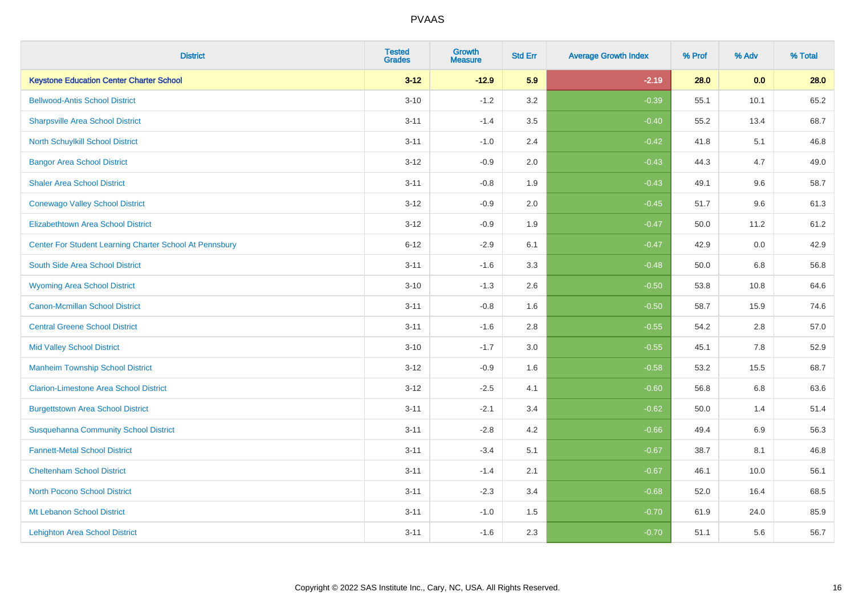| <b>District</b>                                         | <b>Tested</b><br><b>Grades</b> | <b>Growth</b><br><b>Measure</b> | <b>Std Err</b> | <b>Average Growth Index</b> | % Prof | % Adv   | % Total |
|---------------------------------------------------------|--------------------------------|---------------------------------|----------------|-----------------------------|--------|---------|---------|
| <b>Keystone Education Center Charter School</b>         | $3 - 12$                       | $-12.9$                         | 5.9            | $-2.19$                     | 28.0   | 0.0     | 28.0    |
| <b>Bellwood-Antis School District</b>                   | $3 - 10$                       | $-1.2$                          | 3.2            | $-0.39$                     | 55.1   | 10.1    | 65.2    |
| <b>Sharpsville Area School District</b>                 | $3 - 11$                       | $-1.4$                          | 3.5            | $-0.40$                     | 55.2   | 13.4    | 68.7    |
| North Schuylkill School District                        | $3 - 11$                       | $-1.0$                          | 2.4            | $-0.42$                     | 41.8   | 5.1     | 46.8    |
| <b>Bangor Area School District</b>                      | $3 - 12$                       | $-0.9$                          | 2.0            | $-0.43$                     | 44.3   | 4.7     | 49.0    |
| <b>Shaler Area School District</b>                      | $3 - 11$                       | $-0.8$                          | 1.9            | $-0.43$                     | 49.1   | 9.6     | 58.7    |
| <b>Conewago Valley School District</b>                  | $3 - 12$                       | $-0.9$                          | 2.0            | $-0.45$                     | 51.7   | 9.6     | 61.3    |
| <b>Elizabethtown Area School District</b>               | $3 - 12$                       | $-0.9$                          | 1.9            | $-0.47$                     | 50.0   | 11.2    | 61.2    |
| Center For Student Learning Charter School At Pennsbury | $6 - 12$                       | $-2.9$                          | 6.1            | $-0.47$                     | 42.9   | 0.0     | 42.9    |
| South Side Area School District                         | $3 - 11$                       | $-1.6$                          | 3.3            | $-0.48$                     | 50.0   | 6.8     | 56.8    |
| <b>Wyoming Area School District</b>                     | $3 - 10$                       | $-1.3$                          | 2.6            | $-0.50$                     | 53.8   | 10.8    | 64.6    |
| <b>Canon-Mcmillan School District</b>                   | $3 - 11$                       | $-0.8$                          | 1.6            | $-0.50$                     | 58.7   | 15.9    | 74.6    |
| <b>Central Greene School District</b>                   | $3 - 11$                       | $-1.6$                          | 2.8            | $-0.55$                     | 54.2   | 2.8     | 57.0    |
| <b>Mid Valley School District</b>                       | $3 - 10$                       | $-1.7$                          | 3.0            | $-0.55$                     | 45.1   | $7.8\,$ | 52.9    |
| <b>Manheim Township School District</b>                 | $3 - 12$                       | $-0.9$                          | 1.6            | $-0.58$                     | 53.2   | 15.5    | 68.7    |
| <b>Clarion-Limestone Area School District</b>           | $3 - 12$                       | $-2.5$                          | 4.1            | $-0.60$                     | 56.8   | 6.8     | 63.6    |
| <b>Burgettstown Area School District</b>                | $3 - 11$                       | $-2.1$                          | 3.4            | $-0.62$                     | 50.0   | 1.4     | 51.4    |
| <b>Susquehanna Community School District</b>            | $3 - 11$                       | $-2.8$                          | 4.2            | $-0.66$                     | 49.4   | 6.9     | 56.3    |
| <b>Fannett-Metal School District</b>                    | $3 - 11$                       | $-3.4$                          | 5.1            | $-0.67$                     | 38.7   | 8.1     | 46.8    |
| <b>Cheltenham School District</b>                       | $3 - 11$                       | $-1.4$                          | 2.1            | $-0.67$                     | 46.1   | 10.0    | 56.1    |
| <b>North Pocono School District</b>                     | $3 - 11$                       | $-2.3$                          | 3.4            | $-0.68$                     | 52.0   | 16.4    | 68.5    |
| Mt Lebanon School District                              | $3 - 11$                       | $-1.0$                          | 1.5            | $-0.70$                     | 61.9   | 24.0    | 85.9    |
| <b>Lehighton Area School District</b>                   | $3 - 11$                       | $-1.6$                          | 2.3            | $-0.70$                     | 51.1   | 5.6     | 56.7    |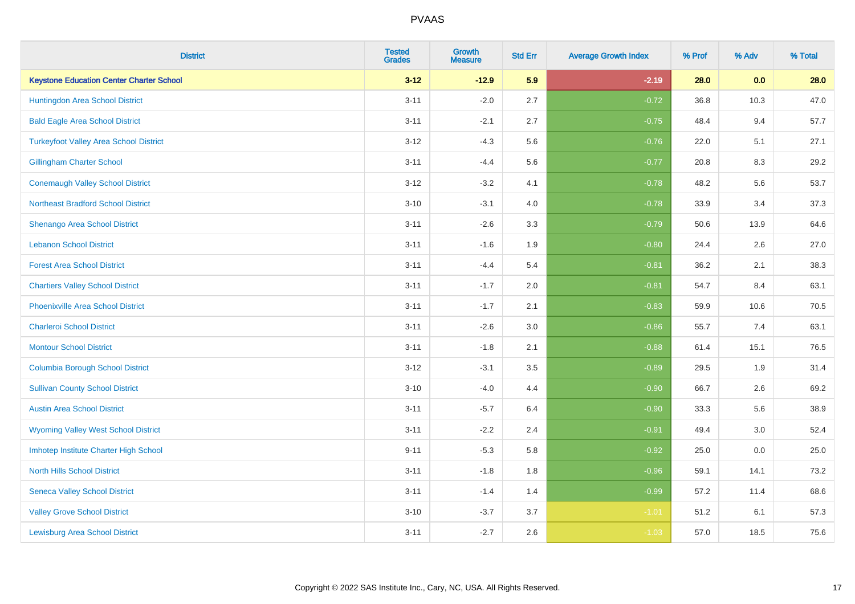| <b>District</b>                                 | <b>Tested</b><br><b>Grades</b> | <b>Growth</b><br><b>Measure</b> | <b>Std Err</b> | <b>Average Growth Index</b> | % Prof | % Adv | % Total |
|-------------------------------------------------|--------------------------------|---------------------------------|----------------|-----------------------------|--------|-------|---------|
| <b>Keystone Education Center Charter School</b> | $3 - 12$                       | $-12.9$                         | 5.9            | $-2.19$                     | 28.0   | 0.0   | 28.0    |
| Huntingdon Area School District                 | $3 - 11$                       | $-2.0$                          | 2.7            | $-0.72$                     | 36.8   | 10.3  | 47.0    |
| <b>Bald Eagle Area School District</b>          | $3 - 11$                       | $-2.1$                          | 2.7            | $-0.75$                     | 48.4   | 9.4   | 57.7    |
| <b>Turkeyfoot Valley Area School District</b>   | $3 - 12$                       | $-4.3$                          | 5.6            | $-0.76$                     | 22.0   | 5.1   | 27.1    |
| <b>Gillingham Charter School</b>                | $3 - 11$                       | $-4.4$                          | 5.6            | $-0.77$                     | 20.8   | 8.3   | 29.2    |
| <b>Conemaugh Valley School District</b>         | $3 - 12$                       | $-3.2$                          | 4.1            | $-0.78$                     | 48.2   | 5.6   | 53.7    |
| <b>Northeast Bradford School District</b>       | $3 - 10$                       | $-3.1$                          | 4.0            | $-0.78$                     | 33.9   | 3.4   | 37.3    |
| Shenango Area School District                   | $3 - 11$                       | $-2.6$                          | 3.3            | $-0.79$                     | 50.6   | 13.9  | 64.6    |
| <b>Lebanon School District</b>                  | $3 - 11$                       | $-1.6$                          | 1.9            | $-0.80$                     | 24.4   | 2.6   | 27.0    |
| <b>Forest Area School District</b>              | $3 - 11$                       | $-4.4$                          | 5.4            | $-0.81$                     | 36.2   | 2.1   | 38.3    |
| <b>Chartiers Valley School District</b>         | $3 - 11$                       | $-1.7$                          | 2.0            | $-0.81$                     | 54.7   | 8.4   | 63.1    |
| <b>Phoenixville Area School District</b>        | $3 - 11$                       | $-1.7$                          | 2.1            | $-0.83$                     | 59.9   | 10.6  | 70.5    |
| <b>Charleroi School District</b>                | $3 - 11$                       | $-2.6$                          | 3.0            | $-0.86$                     | 55.7   | 7.4   | 63.1    |
| <b>Montour School District</b>                  | $3 - 11$                       | $-1.8$                          | 2.1            | $-0.88$                     | 61.4   | 15.1  | 76.5    |
| <b>Columbia Borough School District</b>         | $3 - 12$                       | $-3.1$                          | 3.5            | $-0.89$                     | 29.5   | 1.9   | 31.4    |
| <b>Sullivan County School District</b>          | $3 - 10$                       | $-4.0$                          | 4.4            | $-0.90$                     | 66.7   | 2.6   | 69.2    |
| <b>Austin Area School District</b>              | $3 - 11$                       | $-5.7$                          | 6.4            | $-0.90$                     | 33.3   | 5.6   | 38.9    |
| <b>Wyoming Valley West School District</b>      | $3 - 11$                       | $-2.2$                          | 2.4            | $-0.91$                     | 49.4   | 3.0   | 52.4    |
| Imhotep Institute Charter High School           | $9 - 11$                       | $-5.3$                          | 5.8            | $-0.92$                     | 25.0   | 0.0   | 25.0    |
| <b>North Hills School District</b>              | $3 - 11$                       | $-1.8$                          | 1.8            | $-0.96$                     | 59.1   | 14.1  | 73.2    |
| <b>Seneca Valley School District</b>            | $3 - 11$                       | $-1.4$                          | 1.4            | $-0.99$                     | 57.2   | 11.4  | 68.6    |
| <b>Valley Grove School District</b>             | $3 - 10$                       | $-3.7$                          | 3.7            | $-1.01$                     | 51.2   | 6.1   | 57.3    |
| <b>Lewisburg Area School District</b>           | $3 - 11$                       | $-2.7$                          | 2.6            | $-1.03$                     | 57.0   | 18.5  | 75.6    |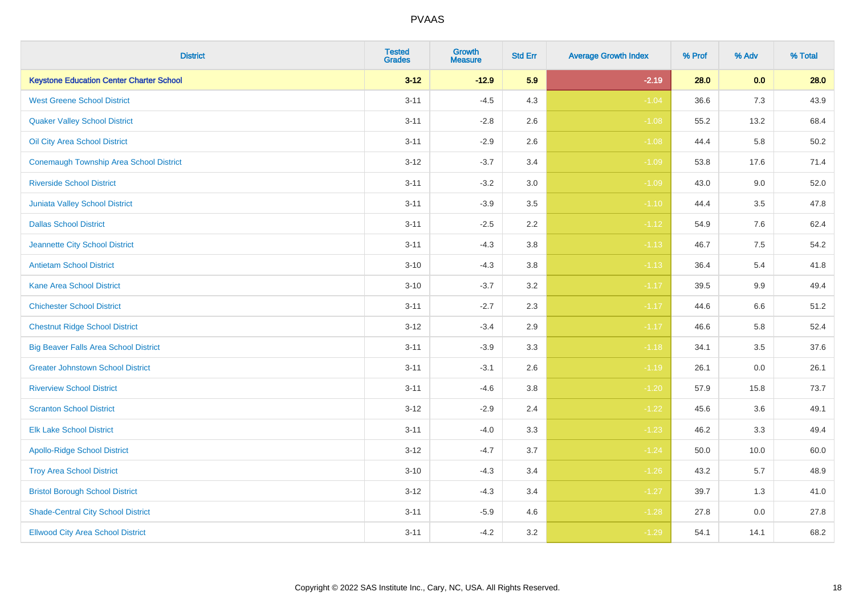| <b>District</b>                                 | <b>Tested</b><br><b>Grades</b> | <b>Growth</b><br><b>Measure</b> | <b>Std Err</b> | <b>Average Growth Index</b> | % Prof | % Adv   | % Total |
|-------------------------------------------------|--------------------------------|---------------------------------|----------------|-----------------------------|--------|---------|---------|
| <b>Keystone Education Center Charter School</b> | $3 - 12$                       | $-12.9$                         | 5.9            | $-2.19$                     | 28.0   | 0.0     | 28.0    |
| <b>West Greene School District</b>              | $3 - 11$                       | $-4.5$                          | 4.3            | $-1.04$                     | 36.6   | 7.3     | 43.9    |
| <b>Quaker Valley School District</b>            | $3 - 11$                       | $-2.8$                          | 2.6            | $-1.08$                     | 55.2   | 13.2    | 68.4    |
| Oil City Area School District                   | $3 - 11$                       | $-2.9$                          | 2.6            | $-1.08$                     | 44.4   | 5.8     | 50.2    |
| <b>Conemaugh Township Area School District</b>  | $3 - 12$                       | $-3.7$                          | 3.4            | $-1.09$                     | 53.8   | 17.6    | 71.4    |
| <b>Riverside School District</b>                | $3 - 11$                       | $-3.2$                          | 3.0            | $-1.09$                     | 43.0   | 9.0     | 52.0    |
| Juniata Valley School District                  | $3 - 11$                       | $-3.9$                          | 3.5            | $-1.10$                     | 44.4   | 3.5     | 47.8    |
| <b>Dallas School District</b>                   | $3 - 11$                       | $-2.5$                          | 2.2            | $-1.12$                     | 54.9   | 7.6     | 62.4    |
| Jeannette City School District                  | $3 - 11$                       | $-4.3$                          | 3.8            | $-1.13$                     | 46.7   | 7.5     | 54.2    |
| <b>Antietam School District</b>                 | $3 - 10$                       | $-4.3$                          | 3.8            | $-1.13$                     | 36.4   | 5.4     | 41.8    |
| <b>Kane Area School District</b>                | $3 - 10$                       | $-3.7$                          | 3.2            | $-1.17$                     | 39.5   | 9.9     | 49.4    |
| <b>Chichester School District</b>               | $3 - 11$                       | $-2.7$                          | 2.3            | $-1.17$                     | 44.6   | $6.6\,$ | 51.2    |
| <b>Chestnut Ridge School District</b>           | $3 - 12$                       | $-3.4$                          | $2.9\,$        | $-1.17$                     | 46.6   | 5.8     | 52.4    |
| <b>Big Beaver Falls Area School District</b>    | $3 - 11$                       | $-3.9$                          | 3.3            | $-1.18$                     | 34.1   | 3.5     | 37.6    |
| <b>Greater Johnstown School District</b>        | $3 - 11$                       | $-3.1$                          | 2.6            | $-1.19$                     | 26.1   | 0.0     | 26.1    |
| <b>Riverview School District</b>                | $3 - 11$                       | $-4.6$                          | 3.8            | $-1.20$                     | 57.9   | 15.8    | 73.7    |
| <b>Scranton School District</b>                 | $3 - 12$                       | $-2.9$                          | 2.4            | $-1.22$                     | 45.6   | 3.6     | 49.1    |
| <b>Elk Lake School District</b>                 | $3 - 11$                       | $-4.0$                          | 3.3            | $-1.23$                     | 46.2   | 3.3     | 49.4    |
| <b>Apollo-Ridge School District</b>             | $3 - 12$                       | $-4.7$                          | 3.7            | $-1.24$                     | 50.0   | 10.0    | 60.0    |
| <b>Troy Area School District</b>                | $3 - 10$                       | $-4.3$                          | 3.4            | $-1.26$                     | 43.2   | 5.7     | 48.9    |
| <b>Bristol Borough School District</b>          | $3 - 12$                       | $-4.3$                          | 3.4            | $-1.27$                     | 39.7   | 1.3     | 41.0    |
| <b>Shade-Central City School District</b>       | $3 - 11$                       | $-5.9$                          | 4.6            | $-1.28$                     | 27.8   | 0.0     | 27.8    |
| <b>Ellwood City Area School District</b>        | $3 - 11$                       | $-4.2$                          | 3.2            | $-1.29$                     | 54.1   | 14.1    | 68.2    |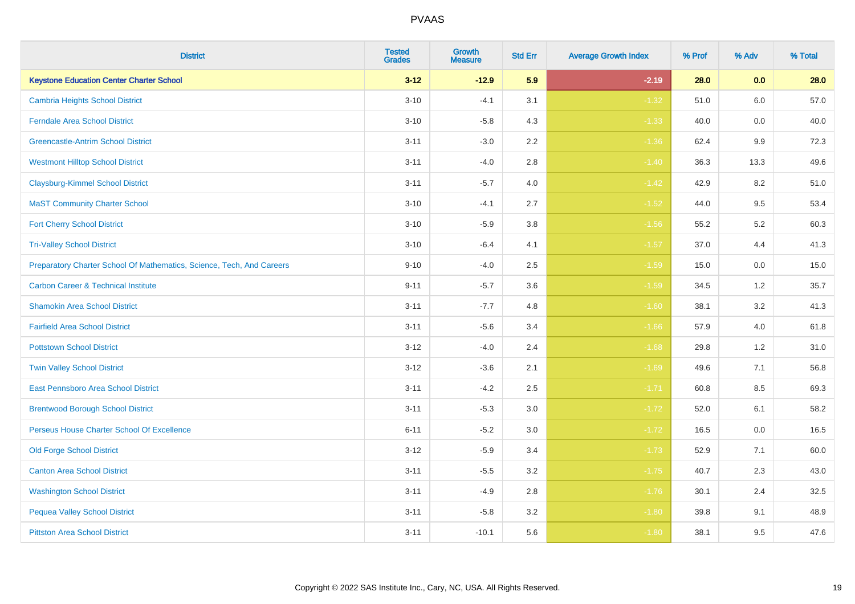| <b>District</b>                                                       | <b>Tested</b><br><b>Grades</b> | <b>Growth</b><br><b>Measure</b> | <b>Std Err</b> | <b>Average Growth Index</b> | % Prof | % Adv | % Total |
|-----------------------------------------------------------------------|--------------------------------|---------------------------------|----------------|-----------------------------|--------|-------|---------|
| <b>Keystone Education Center Charter School</b>                       | $3 - 12$                       | $-12.9$                         | 5.9            | $-2.19$                     | 28.0   | 0.0   | 28.0    |
| <b>Cambria Heights School District</b>                                | $3 - 10$                       | $-4.1$                          | 3.1            | $-1.32$                     | 51.0   | 6.0   | 57.0    |
| <b>Ferndale Area School District</b>                                  | $3 - 10$                       | $-5.8$                          | 4.3            | $-1.33$                     | 40.0   | 0.0   | 40.0    |
| <b>Greencastle-Antrim School District</b>                             | $3 - 11$                       | $-3.0$                          | 2.2            | $-1.36$                     | 62.4   | 9.9   | 72.3    |
| <b>Westmont Hilltop School District</b>                               | $3 - 11$                       | $-4.0$                          | 2.8            | $-1.40$                     | 36.3   | 13.3  | 49.6    |
| <b>Claysburg-Kimmel School District</b>                               | $3 - 11$                       | $-5.7$                          | 4.0            | $-1.42$                     | 42.9   | 8.2   | 51.0    |
| <b>MaST Community Charter School</b>                                  | $3 - 10$                       | $-4.1$                          | 2.7            | $-1.52$                     | 44.0   | 9.5   | 53.4    |
| <b>Fort Cherry School District</b>                                    | $3 - 10$                       | $-5.9$                          | 3.8            | $-1.56$                     | 55.2   | 5.2   | 60.3    |
| <b>Tri-Valley School District</b>                                     | $3 - 10$                       | $-6.4$                          | 4.1            | $-1.57$                     | 37.0   | 4.4   | 41.3    |
| Preparatory Charter School Of Mathematics, Science, Tech, And Careers | $9 - 10$                       | $-4.0$                          | 2.5            | $-1.59$                     | 15.0   | 0.0   | 15.0    |
| <b>Carbon Career &amp; Technical Institute</b>                        | $9 - 11$                       | $-5.7$                          | 3.6            | $-1.59$                     | 34.5   | $1.2$ | 35.7    |
| <b>Shamokin Area School District</b>                                  | $3 - 11$                       | $-7.7$                          | 4.8            | $-1.60$                     | 38.1   | 3.2   | 41.3    |
| <b>Fairfield Area School District</b>                                 | $3 - 11$                       | $-5.6$                          | 3.4            | $-1.66$                     | 57.9   | 4.0   | 61.8    |
| <b>Pottstown School District</b>                                      | $3 - 12$                       | $-4.0$                          | 2.4            | $-1.68$                     | 29.8   | 1.2   | 31.0    |
| <b>Twin Valley School District</b>                                    | $3 - 12$                       | $-3.6$                          | 2.1            | $-1.69$                     | 49.6   | 7.1   | 56.8    |
| <b>East Pennsboro Area School District</b>                            | $3 - 11$                       | $-4.2$                          | 2.5            | $-1.71$                     | 60.8   | 8.5   | 69.3    |
| <b>Brentwood Borough School District</b>                              | $3 - 11$                       | $-5.3$                          | 3.0            | $-1.72$                     | 52.0   | 6.1   | 58.2    |
| Perseus House Charter School Of Excellence                            | $6 - 11$                       | $-5.2$                          | 3.0            | $-1.72$                     | 16.5   | 0.0   | 16.5    |
| <b>Old Forge School District</b>                                      | $3 - 12$                       | $-5.9$                          | 3.4            | $-1.73$                     | 52.9   | 7.1   | 60.0    |
| <b>Canton Area School District</b>                                    | $3 - 11$                       | $-5.5$                          | 3.2            | $-1.75$                     | 40.7   | 2.3   | 43.0    |
| <b>Washington School District</b>                                     | $3 - 11$                       | $-4.9$                          | 2.8            | $-1.76$                     | 30.1   | 2.4   | 32.5    |
| <b>Pequea Valley School District</b>                                  | $3 - 11$                       | $-5.8$                          | 3.2            | $-1.80$                     | 39.8   | 9.1   | 48.9    |
| <b>Pittston Area School District</b>                                  | $3 - 11$                       | $-10.1$                         | 5.6            | $-1.80$                     | 38.1   | 9.5   | 47.6    |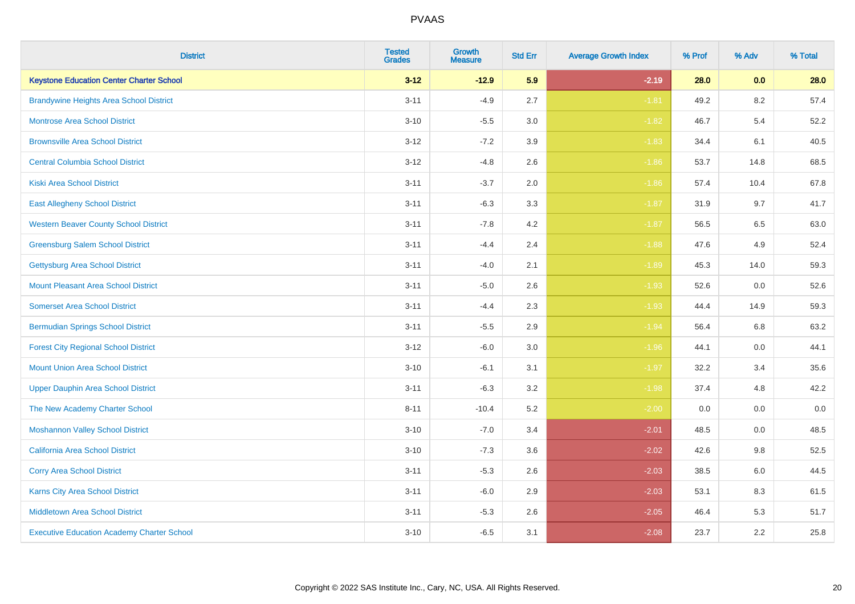| <b>District</b>                                   | <b>Tested</b><br><b>Grades</b> | <b>Growth</b><br><b>Measure</b> | <b>Std Err</b> | <b>Average Growth Index</b> | % Prof | % Adv   | % Total |
|---------------------------------------------------|--------------------------------|---------------------------------|----------------|-----------------------------|--------|---------|---------|
| <b>Keystone Education Center Charter School</b>   | $3 - 12$                       | $-12.9$                         | 5.9            | $-2.19$                     | 28.0   | 0.0     | 28.0    |
| <b>Brandywine Heights Area School District</b>    | $3 - 11$                       | $-4.9$                          | 2.7            | $-1.81$                     | 49.2   | $8.2\,$ | 57.4    |
| <b>Montrose Area School District</b>              | $3 - 10$                       | $-5.5$                          | 3.0            | $-1.82$                     | 46.7   | 5.4     | 52.2    |
| <b>Brownsville Area School District</b>           | $3 - 12$                       | $-7.2$                          | 3.9            | $-1.83$                     | 34.4   | 6.1     | 40.5    |
| <b>Central Columbia School District</b>           | $3 - 12$                       | $-4.8$                          | 2.6            | $-1.86$                     | 53.7   | 14.8    | 68.5    |
| <b>Kiski Area School District</b>                 | $3 - 11$                       | $-3.7$                          | 2.0            | $-1.86$                     | 57.4   | 10.4    | 67.8    |
| <b>East Allegheny School District</b>             | $3 - 11$                       | $-6.3$                          | 3.3            | $-1.87$                     | 31.9   | 9.7     | 41.7    |
| <b>Western Beaver County School District</b>      | $3 - 11$                       | $-7.8$                          | 4.2            | $-1.87$                     | 56.5   | 6.5     | 63.0    |
| <b>Greensburg Salem School District</b>           | $3 - 11$                       | $-4.4$                          | 2.4            | $-1.88$                     | 47.6   | 4.9     | 52.4    |
| Gettysburg Area School District                   | $3 - 11$                       | $-4.0$                          | 2.1            | $-1.89$                     | 45.3   | 14.0    | 59.3    |
| <b>Mount Pleasant Area School District</b>        | $3 - 11$                       | $-5.0$                          | 2.6            | $-1.93$                     | 52.6   | 0.0     | 52.6    |
| <b>Somerset Area School District</b>              | $3 - 11$                       | $-4.4$                          | 2.3            | $-1.93$                     | 44.4   | 14.9    | 59.3    |
| <b>Bermudian Springs School District</b>          | $3 - 11$                       | $-5.5$                          | 2.9            | $-1.94$                     | 56.4   | $6.8\,$ | 63.2    |
| <b>Forest City Regional School District</b>       | $3 - 12$                       | $-6.0$                          | $3.0\,$        | $-1.96$                     | 44.1   | 0.0     | 44.1    |
| <b>Mount Union Area School District</b>           | $3 - 10$                       | $-6.1$                          | 3.1            | $-1.97$                     | 32.2   | 3.4     | 35.6    |
| <b>Upper Dauphin Area School District</b>         | $3 - 11$                       | $-6.3$                          | 3.2            | $-1.98$                     | 37.4   | 4.8     | 42.2    |
| The New Academy Charter School                    | $8 - 11$                       | $-10.4$                         | 5.2            | $-2.00$                     | 0.0    | 0.0     | $0.0\,$ |
| <b>Moshannon Valley School District</b>           | $3 - 10$                       | $-7.0$                          | 3.4            | $-2.01$                     | 48.5   | 0.0     | 48.5    |
| <b>California Area School District</b>            | $3 - 10$                       | $-7.3$                          | 3.6            | $-2.02$                     | 42.6   | 9.8     | 52.5    |
| <b>Corry Area School District</b>                 | $3 - 11$                       | $-5.3$                          | 2.6            | $-2.03$                     | 38.5   | 6.0     | 44.5    |
| Karns City Area School District                   | $3 - 11$                       | $-6.0$                          | 2.9            | $-2.03$                     | 53.1   | 8.3     | 61.5    |
| <b>Middletown Area School District</b>            | $3 - 11$                       | $-5.3$                          | 2.6            | $-2.05$                     | 46.4   | 5.3     | 51.7    |
| <b>Executive Education Academy Charter School</b> | $3 - 10$                       | $-6.5$                          | 3.1            | $-2.08$                     | 23.7   | 2.2     | 25.8    |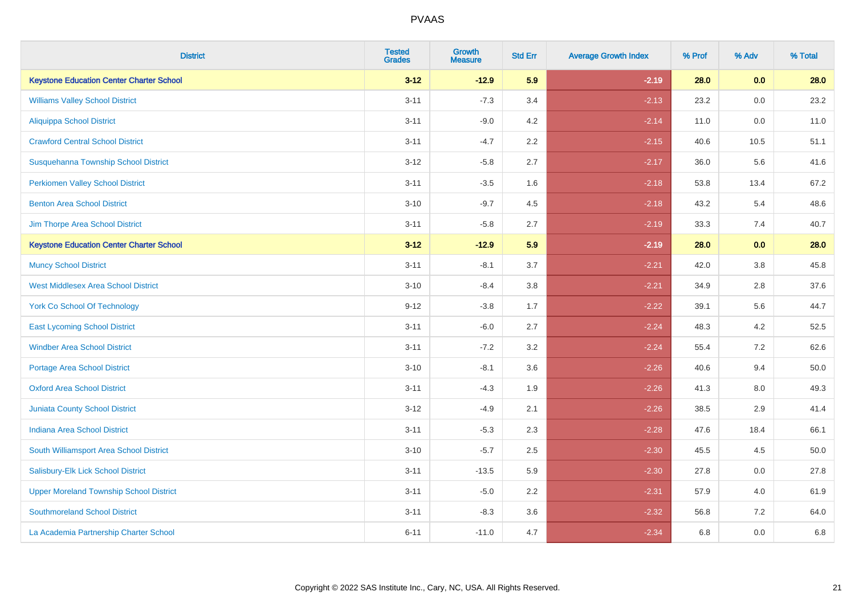| <b>District</b>                                 | <b>Tested</b><br><b>Grades</b> | <b>Growth</b><br><b>Measure</b> | <b>Std Err</b> | <b>Average Growth Index</b> | % Prof | % Adv   | % Total |
|-------------------------------------------------|--------------------------------|---------------------------------|----------------|-----------------------------|--------|---------|---------|
| <b>Keystone Education Center Charter School</b> | $3 - 12$                       | $-12.9$                         | 5.9            | $-2.19$                     | 28.0   | 0.0     | 28.0    |
| <b>Williams Valley School District</b>          | $3 - 11$                       | $-7.3$                          | 3.4            | $-2.13$                     | 23.2   | 0.0     | 23.2    |
| <b>Aliquippa School District</b>                | $3 - 11$                       | $-9.0$                          | 4.2            | $-2.14$                     | 11.0   | 0.0     | 11.0    |
| <b>Crawford Central School District</b>         | $3 - 11$                       | $-4.7$                          | 2.2            | $-2.15$                     | 40.6   | 10.5    | 51.1    |
| Susquehanna Township School District            | $3 - 12$                       | $-5.8$                          | 2.7            | $-2.17$                     | 36.0   | 5.6     | 41.6    |
| <b>Perkiomen Valley School District</b>         | $3 - 11$                       | $-3.5$                          | 1.6            | $-2.18$                     | 53.8   | 13.4    | 67.2    |
| <b>Benton Area School District</b>              | $3 - 10$                       | $-9.7$                          | 4.5            | $-2.18$                     | 43.2   | 5.4     | 48.6    |
| Jim Thorpe Area School District                 | $3 - 11$                       | $-5.8$                          | 2.7            | $-2.19$                     | 33.3   | 7.4     | 40.7    |
| <b>Keystone Education Center Charter School</b> | $3 - 12$                       | $-12.9$                         | 5.9            | $-2.19$                     | 28.0   | 0.0     | 28.0    |
| <b>Muncy School District</b>                    | $3 - 11$                       | $-8.1$                          | 3.7            | $-2.21$                     | 42.0   | $3.8\,$ | 45.8    |
| <b>West Middlesex Area School District</b>      | $3 - 10$                       | $-8.4$                          | 3.8            | $-2.21$                     | 34.9   | 2.8     | 37.6    |
| <b>York Co School Of Technology</b>             | $9 - 12$                       | $-3.8$                          | 1.7            | $-2.22$                     | 39.1   | 5.6     | 44.7    |
| <b>East Lycoming School District</b>            | $3 - 11$                       | $-6.0$                          | 2.7            | $-2.24$                     | 48.3   | 4.2     | 52.5    |
| <b>Windber Area School District</b>             | $3 - 11$                       | $-7.2$                          | 3.2            | $-2.24$                     | 55.4   | 7.2     | 62.6    |
| <b>Portage Area School District</b>             | $3 - 10$                       | $-8.1$                          | 3.6            | $-2.26$                     | 40.6   | 9.4     | 50.0    |
| <b>Oxford Area School District</b>              | $3 - 11$                       | $-4.3$                          | 1.9            | $-2.26$                     | 41.3   | 8.0     | 49.3    |
| <b>Juniata County School District</b>           | $3 - 12$                       | $-4.9$                          | 2.1            | $-2.26$                     | 38.5   | 2.9     | 41.4    |
| <b>Indiana Area School District</b>             | $3 - 11$                       | $-5.3$                          | 2.3            | $-2.28$                     | 47.6   | 18.4    | 66.1    |
| South Williamsport Area School District         | $3 - 10$                       | $-5.7$                          | 2.5            | $-2.30$                     | 45.5   | 4.5     | 50.0    |
| Salisbury-Elk Lick School District              | $3 - 11$                       | $-13.5$                         | 5.9            | $-2.30$                     | 27.8   | 0.0     | 27.8    |
| <b>Upper Moreland Township School District</b>  | $3 - 11$                       | $-5.0$                          | 2.2            | $-2.31$                     | 57.9   | 4.0     | 61.9    |
| <b>Southmoreland School District</b>            | $3 - 11$                       | $-8.3$                          | 3.6            | $-2.32$                     | 56.8   | 7.2     | 64.0    |
| La Academia Partnership Charter School          | $6 - 11$                       | $-11.0$                         | 4.7            | $-2.34$                     | 6.8    | 0.0     | 6.8     |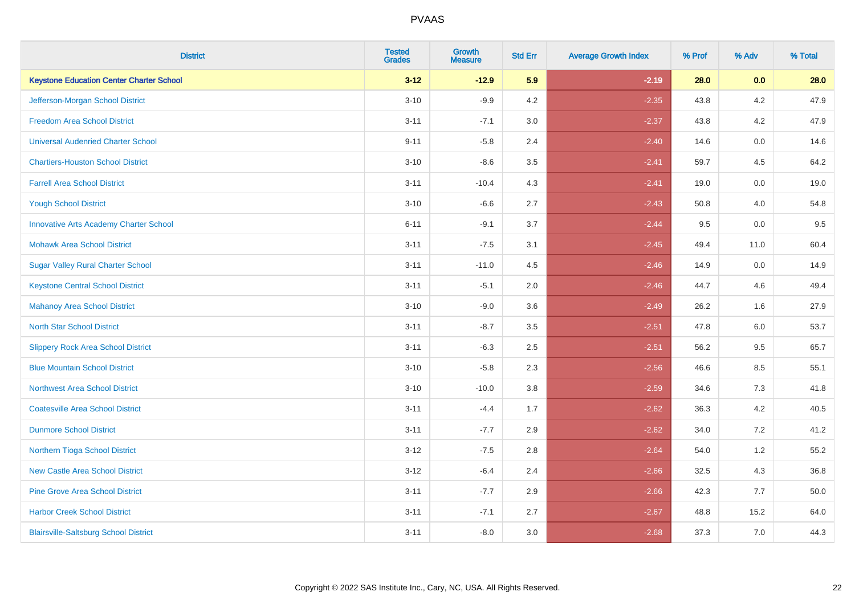| <b>District</b>                                 | <b>Tested</b><br><b>Grades</b> | <b>Growth</b><br><b>Measure</b> | <b>Std Err</b> | <b>Average Growth Index</b> | % Prof | % Adv   | % Total |
|-------------------------------------------------|--------------------------------|---------------------------------|----------------|-----------------------------|--------|---------|---------|
| <b>Keystone Education Center Charter School</b> | $3 - 12$                       | $-12.9$                         | 5.9            | $-2.19$                     | 28.0   | 0.0     | 28.0    |
| Jefferson-Morgan School District                | $3 - 10$                       | $-9.9$                          | 4.2            | $-2.35$                     | 43.8   | $4.2\,$ | 47.9    |
| <b>Freedom Area School District</b>             | $3 - 11$                       | $-7.1$                          | 3.0            | $-2.37$                     | 43.8   | 4.2     | 47.9    |
| <b>Universal Audenried Charter School</b>       | $9 - 11$                       | $-5.8$                          | 2.4            | $-2.40$                     | 14.6   | 0.0     | 14.6    |
| <b>Chartiers-Houston School District</b>        | $3 - 10$                       | $-8.6$                          | 3.5            | $-2.41$                     | 59.7   | 4.5     | 64.2    |
| <b>Farrell Area School District</b>             | $3 - 11$                       | $-10.4$                         | 4.3            | $-2.41$                     | 19.0   | 0.0     | 19.0    |
| <b>Yough School District</b>                    | $3 - 10$                       | $-6.6$                          | 2.7            | $-2.43$                     | 50.8   | 4.0     | 54.8    |
| <b>Innovative Arts Academy Charter School</b>   | $6 - 11$                       | $-9.1$                          | 3.7            | $-2.44$                     | 9.5    | 0.0     | 9.5     |
| <b>Mohawk Area School District</b>              | $3 - 11$                       | $-7.5$                          | 3.1            | $-2.45$                     | 49.4   | 11.0    | 60.4    |
| <b>Sugar Valley Rural Charter School</b>        | $3 - 11$                       | $-11.0$                         | 4.5            | $-2.46$                     | 14.9   | 0.0     | 14.9    |
| <b>Keystone Central School District</b>         | $3 - 11$                       | $-5.1$                          | 2.0            | $-2.46$                     | 44.7   | 4.6     | 49.4    |
| <b>Mahanoy Area School District</b>             | $3 - 10$                       | $-9.0$                          | 3.6            | $-2.49$                     | 26.2   | 1.6     | 27.9    |
| <b>North Star School District</b>               | $3 - 11$                       | $-8.7$                          | 3.5            | $-2.51$                     | 47.8   | $6.0\,$ | 53.7    |
| <b>Slippery Rock Area School District</b>       | $3 - 11$                       | $-6.3$                          | 2.5            | $-2.51$                     | 56.2   | 9.5     | 65.7    |
| <b>Blue Mountain School District</b>            | $3 - 10$                       | $-5.8$                          | 2.3            | $-2.56$                     | 46.6   | 8.5     | 55.1    |
| <b>Northwest Area School District</b>           | $3 - 10$                       | $-10.0$                         | 3.8            | $-2.59$                     | 34.6   | 7.3     | 41.8    |
| <b>Coatesville Area School District</b>         | $3 - 11$                       | $-4.4$                          | 1.7            | $-2.62$                     | 36.3   | 4.2     | 40.5    |
| <b>Dunmore School District</b>                  | $3 - 11$                       | $-7.7$                          | 2.9            | $-2.62$                     | 34.0   | 7.2     | 41.2    |
| Northern Tioga School District                  | $3 - 12$                       | $-7.5$                          | 2.8            | $-2.64$                     | 54.0   | 1.2     | 55.2    |
| <b>New Castle Area School District</b>          | $3 - 12$                       | $-6.4$                          | 2.4            | $-2.66$                     | 32.5   | 4.3     | 36.8    |
| <b>Pine Grove Area School District</b>          | $3 - 11$                       | $-7.7$                          | 2.9            | $-2.66$                     | 42.3   | 7.7     | 50.0    |
| <b>Harbor Creek School District</b>             | $3 - 11$                       | $-7.1$                          | 2.7            | $-2.67$                     | 48.8   | 15.2    | 64.0    |
| <b>Blairsville-Saltsburg School District</b>    | $3 - 11$                       | $-8.0$                          | 3.0            | $-2.68$                     | 37.3   | 7.0     | 44.3    |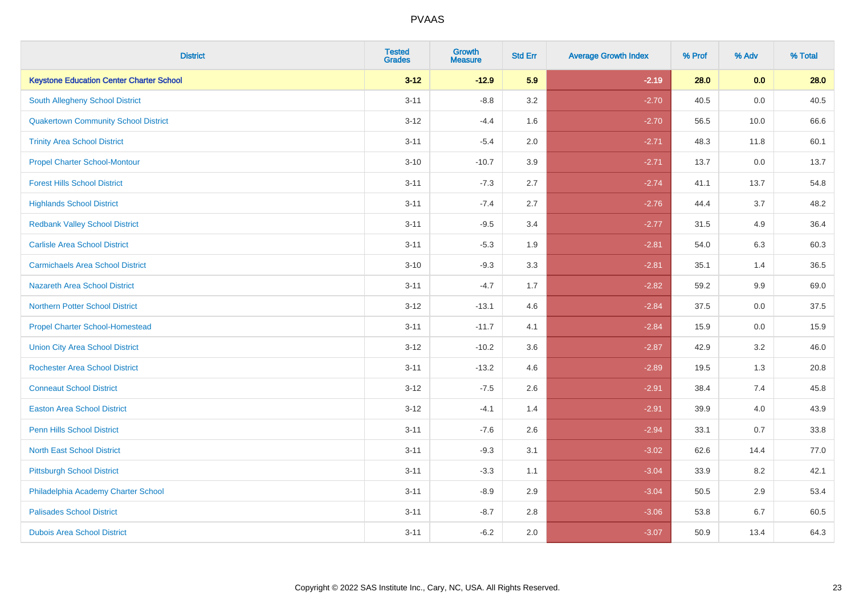| <b>District</b>                                 | <b>Tested</b><br><b>Grades</b> | <b>Growth</b><br><b>Measure</b> | <b>Std Err</b> | <b>Average Growth Index</b> | % Prof | % Adv | % Total |
|-------------------------------------------------|--------------------------------|---------------------------------|----------------|-----------------------------|--------|-------|---------|
| <b>Keystone Education Center Charter School</b> | $3 - 12$                       | $-12.9$                         | 5.9            | $-2.19$                     | 28.0   | 0.0   | 28.0    |
| <b>South Allegheny School District</b>          | $3 - 11$                       | $-8.8$                          | 3.2            | $-2.70$                     | 40.5   | 0.0   | 40.5    |
| <b>Quakertown Community School District</b>     | $3 - 12$                       | $-4.4$                          | 1.6            | $-2.70$                     | 56.5   | 10.0  | 66.6    |
| <b>Trinity Area School District</b>             | $3 - 11$                       | $-5.4$                          | 2.0            | $-2.71$                     | 48.3   | 11.8  | 60.1    |
| <b>Propel Charter School-Montour</b>            | $3 - 10$                       | $-10.7$                         | 3.9            | $-2.71$                     | 13.7   | 0.0   | 13.7    |
| <b>Forest Hills School District</b>             | $3 - 11$                       | $-7.3$                          | 2.7            | $-2.74$                     | 41.1   | 13.7  | 54.8    |
| <b>Highlands School District</b>                | $3 - 11$                       | $-7.4$                          | 2.7            | $-2.76$                     | 44.4   | 3.7   | 48.2    |
| <b>Redbank Valley School District</b>           | $3 - 11$                       | $-9.5$                          | 3.4            | $-2.77$                     | 31.5   | 4.9   | 36.4    |
| <b>Carlisle Area School District</b>            | $3 - 11$                       | $-5.3$                          | 1.9            | $-2.81$                     | 54.0   | 6.3   | 60.3    |
| <b>Carmichaels Area School District</b>         | $3 - 10$                       | $-9.3$                          | 3.3            | $-2.81$                     | 35.1   | 1.4   | 36.5    |
| <b>Nazareth Area School District</b>            | $3 - 11$                       | $-4.7$                          | 1.7            | $-2.82$                     | 59.2   | 9.9   | 69.0    |
| <b>Northern Potter School District</b>          | $3-12$                         | $-13.1$                         | 4.6            | $-2.84$                     | 37.5   | 0.0   | 37.5    |
| <b>Propel Charter School-Homestead</b>          | $3 - 11$                       | $-11.7$                         | 4.1            | $-2.84$                     | 15.9   | 0.0   | 15.9    |
| <b>Union City Area School District</b>          | $3 - 12$                       | $-10.2$                         | 3.6            | $-2.87$                     | 42.9   | 3.2   | 46.0    |
| <b>Rochester Area School District</b>           | $3 - 11$                       | $-13.2$                         | 4.6            | $-2.89$                     | 19.5   | 1.3   | 20.8    |
| <b>Conneaut School District</b>                 | $3 - 12$                       | $-7.5$                          | 2.6            | $-2.91$                     | 38.4   | 7.4   | 45.8    |
| <b>Easton Area School District</b>              | $3 - 12$                       | $-4.1$                          | 1.4            | $-2.91$                     | 39.9   | 4.0   | 43.9    |
| <b>Penn Hills School District</b>               | $3 - 11$                       | $-7.6$                          | 2.6            | $-2.94$                     | 33.1   | 0.7   | 33.8    |
| <b>North East School District</b>               | $3 - 11$                       | $-9.3$                          | 3.1            | $-3.02$                     | 62.6   | 14.4  | 77.0    |
| <b>Pittsburgh School District</b>               | $3 - 11$                       | $-3.3$                          | 1.1            | $-3.04$                     | 33.9   | 8.2   | 42.1    |
| Philadelphia Academy Charter School             | $3 - 11$                       | $-8.9$                          | 2.9            | $-3.04$                     | 50.5   | 2.9   | 53.4    |
| <b>Palisades School District</b>                | $3 - 11$                       | $-8.7$                          | 2.8            | $-3.06$                     | 53.8   | 6.7   | 60.5    |
| <b>Dubois Area School District</b>              | $3 - 11$                       | $-6.2$                          | 2.0            | $-3.07$                     | 50.9   | 13.4  | 64.3    |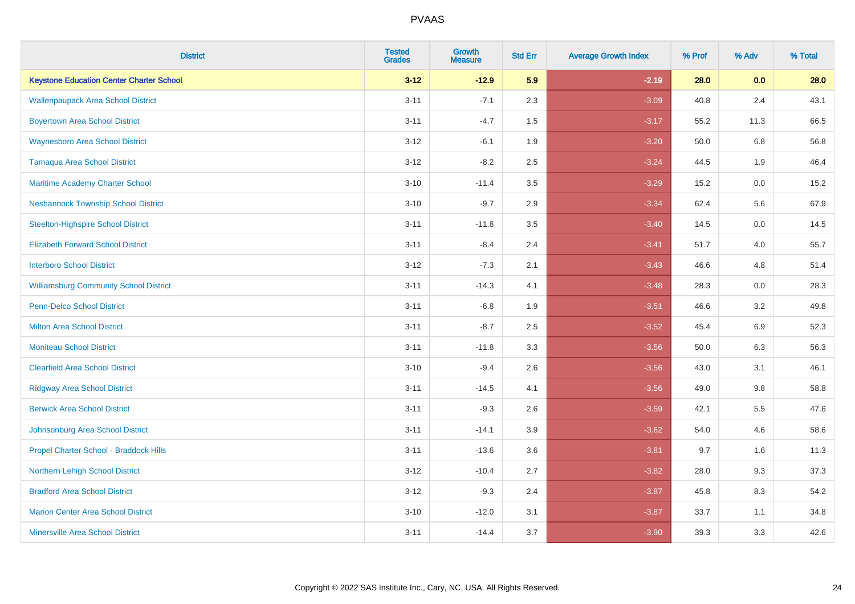| <b>District</b>                                 | <b>Tested</b><br><b>Grades</b> | <b>Growth</b><br><b>Measure</b> | <b>Std Err</b> | <b>Average Growth Index</b> | % Prof | % Adv   | % Total |
|-------------------------------------------------|--------------------------------|---------------------------------|----------------|-----------------------------|--------|---------|---------|
| <b>Keystone Education Center Charter School</b> | $3 - 12$                       | $-12.9$                         | 5.9            | $-2.19$                     | 28.0   | 0.0     | 28.0    |
| <b>Wallenpaupack Area School District</b>       | $3 - 11$                       | $-7.1$                          | 2.3            | $-3.09$                     | 40.8   | 2.4     | 43.1    |
| <b>Boyertown Area School District</b>           | $3 - 11$                       | $-4.7$                          | 1.5            | $-3.17$                     | 55.2   | 11.3    | 66.5    |
| <b>Waynesboro Area School District</b>          | $3 - 12$                       | $-6.1$                          | 1.9            | $-3.20$                     | 50.0   | $6.8\,$ | 56.8    |
| <b>Tamaqua Area School District</b>             | $3 - 12$                       | $-8.2$                          | 2.5            | $-3.24$                     | 44.5   | 1.9     | 46.4    |
| Maritime Academy Charter School                 | $3 - 10$                       | $-11.4$                         | 3.5            | $-3.29$                     | 15.2   | 0.0     | 15.2    |
| <b>Neshannock Township School District</b>      | $3 - 10$                       | $-9.7$                          | 2.9            | $-3.34$                     | 62.4   | 5.6     | 67.9    |
| <b>Steelton-Highspire School District</b>       | $3 - 11$                       | $-11.8$                         | 3.5            | $-3.40$                     | 14.5   | 0.0     | 14.5    |
| <b>Elizabeth Forward School District</b>        | $3 - 11$                       | $-8.4$                          | 2.4            | $-3.41$                     | 51.7   | 4.0     | 55.7    |
| <b>Interboro School District</b>                | $3 - 12$                       | $-7.3$                          | 2.1            | $-3.43$                     | 46.6   | 4.8     | 51.4    |
| <b>Williamsburg Community School District</b>   | $3 - 11$                       | $-14.3$                         | 4.1            | $-3.48$                     | 28.3   | 0.0     | 28.3    |
| <b>Penn-Delco School District</b>               | $3 - 11$                       | $-6.8$                          | 1.9            | $-3.51$                     | 46.6   | 3.2     | 49.8    |
| <b>Milton Area School District</b>              | $3 - 11$                       | $-8.7$                          | 2.5            | $-3.52$                     | 45.4   | $6.9\,$ | 52.3    |
| <b>Moniteau School District</b>                 | $3 - 11$                       | $-11.8$                         | 3.3            | $-3.56$                     | 50.0   | 6.3     | 56.3    |
| <b>Clearfield Area School District</b>          | $3 - 10$                       | $-9.4$                          | 2.6            | $-3.56$                     | 43.0   | 3.1     | 46.1    |
| <b>Ridgway Area School District</b>             | $3 - 11$                       | $-14.5$                         | 4.1            | $-3.56$                     | 49.0   | $9.8\,$ | 58.8    |
| <b>Berwick Area School District</b>             | $3 - 11$                       | $-9.3$                          | 2.6            | $-3.59$                     | 42.1   | 5.5     | 47.6    |
| Johnsonburg Area School District                | $3 - 11$                       | $-14.1$                         | 3.9            | $-3.62$                     | 54.0   | 4.6     | 58.6    |
| Propel Charter School - Braddock Hills          | $3 - 11$                       | $-13.6$                         | 3.6            | $-3.81$                     | 9.7    | 1.6     | 11.3    |
| Northern Lehigh School District                 | $3 - 12$                       | $-10.4$                         | 2.7            | $-3.82$                     | 28.0   | 9.3     | 37.3    |
| <b>Bradford Area School District</b>            | $3 - 12$                       | $-9.3$                          | 2.4            | $-3.87$                     | 45.8   | 8.3     | 54.2    |
| <b>Marion Center Area School District</b>       | $3 - 10$                       | $-12.0$                         | 3.1            | $-3.87$                     | 33.7   | 1.1     | 34.8    |
| <b>Minersville Area School District</b>         | $3 - 11$                       | $-14.4$                         | 3.7            | $-3.90$                     | 39.3   | 3.3     | 42.6    |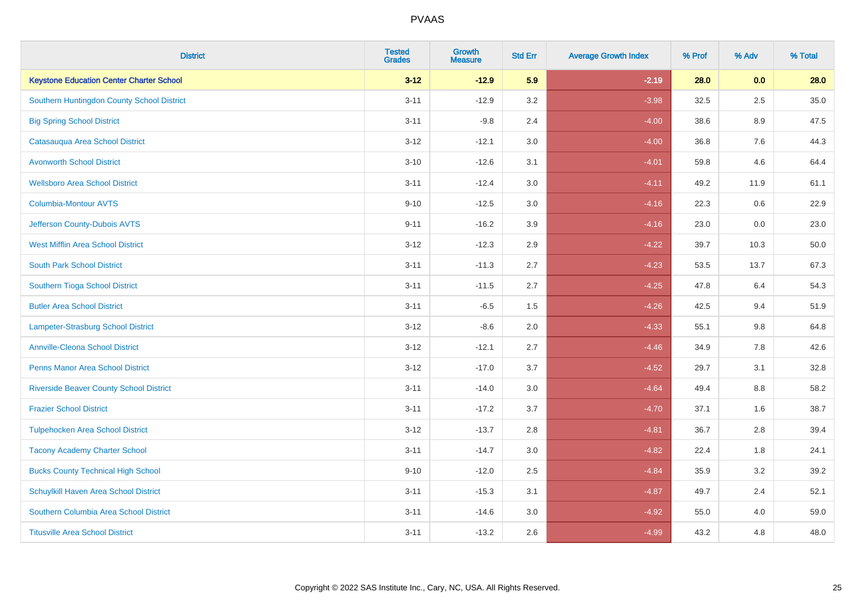| <b>District</b>                                 | <b>Tested</b><br><b>Grades</b> | <b>Growth</b><br><b>Measure</b> | <b>Std Err</b> | <b>Average Growth Index</b> | % Prof | % Adv   | % Total |
|-------------------------------------------------|--------------------------------|---------------------------------|----------------|-----------------------------|--------|---------|---------|
| <b>Keystone Education Center Charter School</b> | $3 - 12$                       | $-12.9$                         | 5.9            | $-2.19$                     | 28.0   | 0.0     | 28.0    |
| Southern Huntingdon County School District      | $3 - 11$                       | $-12.9$                         | 3.2            | $-3.98$                     | 32.5   | 2.5     | 35.0    |
| <b>Big Spring School District</b>               | $3 - 11$                       | $-9.8$                          | 2.4            | $-4.00$                     | 38.6   | 8.9     | 47.5    |
| Catasauqua Area School District                 | $3 - 12$                       | $-12.1$                         | 3.0            | $-4.00$                     | 36.8   | $7.6\,$ | 44.3    |
| <b>Avonworth School District</b>                | $3 - 10$                       | $-12.6$                         | 3.1            | $-4.01$                     | 59.8   | 4.6     | 64.4    |
| <b>Wellsboro Area School District</b>           | $3 - 11$                       | $-12.4$                         | 3.0            | $-4.11$                     | 49.2   | 11.9    | 61.1    |
| <b>Columbia-Montour AVTS</b>                    | $9 - 10$                       | $-12.5$                         | 3.0            | $-4.16$                     | 22.3   | 0.6     | 22.9    |
| Jefferson County-Dubois AVTS                    | $9 - 11$                       | $-16.2$                         | 3.9            | $-4.16$                     | 23.0   | 0.0     | 23.0    |
| <b>West Mifflin Area School District</b>        | $3 - 12$                       | $-12.3$                         | 2.9            | $-4.22$                     | 39.7   | 10.3    | 50.0    |
| <b>South Park School District</b>               | $3 - 11$                       | $-11.3$                         | 2.7            | $-4.23$                     | 53.5   | 13.7    | 67.3    |
| Southern Tioga School District                  | $3 - 11$                       | $-11.5$                         | 2.7            | $-4.25$                     | 47.8   | 6.4     | 54.3    |
| <b>Butler Area School District</b>              | $3 - 11$                       | $-6.5$                          | 1.5            | $-4.26$                     | 42.5   | 9.4     | 51.9    |
| <b>Lampeter-Strasburg School District</b>       | $3 - 12$                       | $-8.6$                          | 2.0            | $-4.33$                     | 55.1   | 9.8     | 64.8    |
| <b>Annville-Cleona School District</b>          | $3 - 12$                       | $-12.1$                         | 2.7            | $-4.46$                     | 34.9   | $7.8\,$ | 42.6    |
| <b>Penns Manor Area School District</b>         | $3 - 12$                       | $-17.0$                         | 3.7            | $-4.52$                     | 29.7   | 3.1     | 32.8    |
| <b>Riverside Beaver County School District</b>  | $3 - 11$                       | $-14.0$                         | 3.0            | $-4.64$                     | 49.4   | 8.8     | 58.2    |
| <b>Frazier School District</b>                  | $3 - 11$                       | $-17.2$                         | 3.7            | $-4.70$                     | 37.1   | 1.6     | 38.7    |
| <b>Tulpehocken Area School District</b>         | $3 - 12$                       | $-13.7$                         | 2.8            | $-4.81$                     | 36.7   | 2.8     | 39.4    |
| <b>Tacony Academy Charter School</b>            | $3 - 11$                       | $-14.7$                         | 3.0            | $-4.82$                     | 22.4   | 1.8     | 24.1    |
| <b>Bucks County Technical High School</b>       | $9 - 10$                       | $-12.0$                         | 2.5            | $-4.84$                     | 35.9   | 3.2     | 39.2    |
| Schuylkill Haven Area School District           | $3 - 11$                       | $-15.3$                         | 3.1            | $-4.87$                     | 49.7   | 2.4     | 52.1    |
| Southern Columbia Area School District          | $3 - 11$                       | $-14.6$                         | 3.0            | $-4.92$                     | 55.0   | 4.0     | 59.0    |
| <b>Titusville Area School District</b>          | $3 - 11$                       | $-13.2$                         | 2.6            | $-4.99$                     | 43.2   | 4.8     | 48.0    |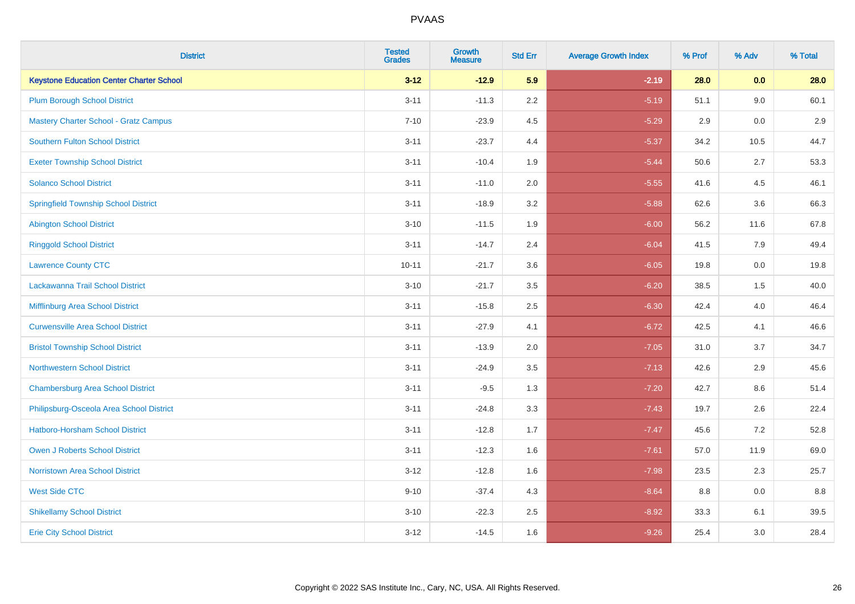| <b>District</b>                                 | <b>Tested</b><br><b>Grades</b> | <b>Growth</b><br><b>Measure</b> | <b>Std Err</b> | <b>Average Growth Index</b> | % Prof | % Adv   | % Total |
|-------------------------------------------------|--------------------------------|---------------------------------|----------------|-----------------------------|--------|---------|---------|
| <b>Keystone Education Center Charter School</b> | $3 - 12$                       | $-12.9$                         | 5.9            | $-2.19$                     | 28.0   | 0.0     | 28.0    |
| <b>Plum Borough School District</b>             | $3 - 11$                       | $-11.3$                         | 2.2            | $-5.19$                     | 51.1   | 9.0     | 60.1    |
| <b>Mastery Charter School - Gratz Campus</b>    | $7 - 10$                       | $-23.9$                         | 4.5            | $-5.29$                     | 2.9    | 0.0     | 2.9     |
| Southern Fulton School District                 | $3 - 11$                       | $-23.7$                         | 4.4            | $-5.37$                     | 34.2   | 10.5    | 44.7    |
| <b>Exeter Township School District</b>          | $3 - 11$                       | $-10.4$                         | 1.9            | $-5.44$                     | 50.6   | 2.7     | 53.3    |
| <b>Solanco School District</b>                  | $3 - 11$                       | $-11.0$                         | 2.0            | $-5.55$                     | 41.6   | 4.5     | 46.1    |
| <b>Springfield Township School District</b>     | $3 - 11$                       | $-18.9$                         | 3.2            | $-5.88$                     | 62.6   | 3.6     | 66.3    |
| <b>Abington School District</b>                 | $3 - 10$                       | $-11.5$                         | 1.9            | $-6.00$                     | 56.2   | 11.6    | 67.8    |
| <b>Ringgold School District</b>                 | $3 - 11$                       | $-14.7$                         | 2.4            | $-6.04$                     | 41.5   | 7.9     | 49.4    |
| <b>Lawrence County CTC</b>                      | $10 - 11$                      | $-21.7$                         | 3.6            | $-6.05$                     | 19.8   | 0.0     | 19.8    |
| Lackawanna Trail School District                | $3 - 10$                       | $-21.7$                         | 3.5            | $-6.20$                     | 38.5   | 1.5     | 40.0    |
| Mifflinburg Area School District                | $3 - 11$                       | $-15.8$                         | 2.5            | $-6.30$                     | 42.4   | 4.0     | 46.4    |
| <b>Curwensville Area School District</b>        | $3 - 11$                       | $-27.9$                         | 4.1            | $-6.72$                     | 42.5   | 4.1     | 46.6    |
| <b>Bristol Township School District</b>         | $3 - 11$                       | $-13.9$                         | 2.0            | $-7.05$                     | 31.0   | 3.7     | 34.7    |
| <b>Northwestern School District</b>             | $3 - 11$                       | $-24.9$                         | 3.5            | $-7.13$                     | 42.6   | 2.9     | 45.6    |
| <b>Chambersburg Area School District</b>        | $3 - 11$                       | $-9.5$                          | 1.3            | $-7.20$                     | 42.7   | $8.6\,$ | 51.4    |
| Philipsburg-Osceola Area School District        | $3 - 11$                       | $-24.8$                         | 3.3            | $-7.43$                     | 19.7   | 2.6     | 22.4    |
| <b>Hatboro-Horsham School District</b>          | $3 - 11$                       | $-12.8$                         | 1.7            | $-7.47$                     | 45.6   | 7.2     | 52.8    |
| Owen J Roberts School District                  | $3 - 11$                       | $-12.3$                         | 1.6            | $-7.61$                     | 57.0   | 11.9    | 69.0    |
| <b>Norristown Area School District</b>          | $3 - 12$                       | $-12.8$                         | 1.6            | $-7.98$                     | 23.5   | 2.3     | 25.7    |
| <b>West Side CTC</b>                            | $9 - 10$                       | $-37.4$                         | 4.3            | $-8.64$                     | 8.8    | 0.0     | 8.8     |
| <b>Shikellamy School District</b>               | $3 - 10$                       | $-22.3$                         | 2.5            | $-8.92$                     | 33.3   | 6.1     | 39.5    |
| <b>Erie City School District</b>                | $3 - 12$                       | $-14.5$                         | 1.6            | $-9.26$                     | 25.4   | 3.0     | 28.4    |